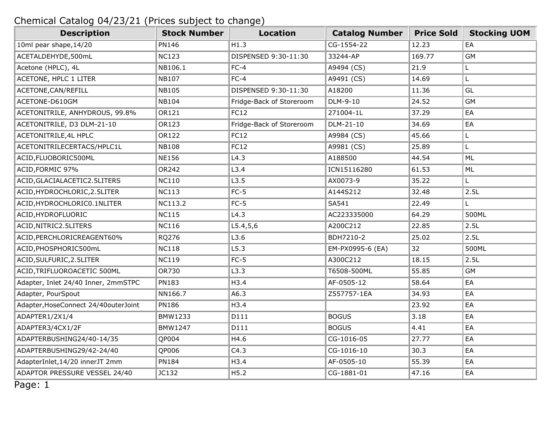| <b>Description</b>                   | <b>Stock Number</b> | <b>Location</b>          | <b>Catalog Number</b> | <b>Price Sold</b> | <b>Stocking UOM</b> |
|--------------------------------------|---------------------|--------------------------|-----------------------|-------------------|---------------------|
| 10ml pear shape, 14/20               | <b>PN146</b>        | H1.3                     | CG-1554-22            | 12.23             | EA                  |
| ACETALDEHYDE,500mL                   | <b>NC123</b>        | DISPENSED 9:30-11:30     | 33244-AP              | 169.77            | <b>GM</b>           |
| Acetone (HPLC), 4L                   | NB106.1             | $FC-4$                   | A9494 (CS)            | 21.9              | L.                  |
| ACETONE, HPLC 1 LITER                | <b>NB107</b>        | $FC-4$                   | A9491 (CS)            | 14.69             | L.                  |
| ACETONE, CAN/REFILL                  | <b>NB105</b>        | DISPENSED 9:30-11:30     | A18200                | 11.36             | GL                  |
| ACETONE-D610GM                       | <b>NB104</b>        | Fridge-Back of Storeroom | DLM-9-10              | 24.52             | <b>GM</b>           |
| ACETONITRILE, ANHYDROUS, 99.8%       | OR121               | <b>FC12</b>              | 271004-1L             | 37.29             | EA                  |
| ACETONITRILE, D3 DLM-21-10           | OR123               | Fridge-Back of Storeroom | DLM-21-10             | 34.69             | EA                  |
| ACETONITRILE, 4L HPLC                | OR122               | <b>FC12</b>              | A9984 (CS)            | 45.66             | L.                  |
| ACETONITRILECERTACS/HPLC1L           | <b>NB108</b>        | FC12                     | A9981 (CS)            | 25.89             | L                   |
| ACID, FLUOBORIC500ML                 | <b>NE156</b>        | L4.3                     | A188500               | 44.54             | ML                  |
| ACID, FORMIC 97%                     | OR242               | L3.4                     | ICN15116280           | 61.53             | ML                  |
| ACID, GLACIALACETIC2.5LITERS         | <b>NC110</b>        | L3.5                     | AX0073-9              | 35.22             | L.                  |
| ACID, HYDROCHLORIC, 2.5LITER         | <b>NC113</b>        | $FC-5$                   | A144S212              | 32.48             | 2.5L                |
| ACID, HYDROCHLORICO. 1NLITER         | NC113.2             | $FC-5$                   | SA541                 | 22.49             | L                   |
| ACID, HYDROFLUORIC                   | <b>NC115</b>        | L4.3                     | AC223335000           | 64.29             | 500ML               |
| ACID, NITRIC2.5LITERS                | <b>NC116</b>        | L5.4, 5, 6               | A200C212              | 22.85             | 2.5L                |
| ACID, PERCHLORICREAGENT60%           | RQ276               | L3.6                     | BDH7210-2             | 25.02             | 2.5L                |
| ACID, PHOSPHORIC500mL                | <b>NC118</b>        | L5.3                     | EM-PX0995-6 (EA)      | 32                | 500ML               |
| ACID, SULFURIC, 2.5LITER             | <b>NC119</b>        | $FC-5$                   | A300C212              | 18.15             | 2.5L                |
| ACID, TRIFLUOROACETIC 500ML          | <b>OR730</b>        | L3.3                     | T6508-500ML           | 55.85             | <b>GM</b>           |
| Adapter, Inlet 24/40 Inner, 2mmSTPC  | PN183               | H3.4                     | AF-0505-12            | 58.64             | EA                  |
| Adapter, PourSpout                   | NN166.7             | A6.3                     | Z557757-1EA           | 34.93             | EA                  |
| Adapter, HoseConnect 24/40outerJoint | <b>PN186</b>        | H3.4                     |                       | 23.92             | EA                  |
| ADAPTER1/2X1/4                       | BMW1233             | D111                     | <b>BOGUS</b>          | 3.18              | EA                  |
| ADAPTER3/4CX1/2F                     | <b>BMW1247</b>      | D111                     | <b>BOGUS</b>          | 4.41              | EA                  |
| ADAPTERBUSHING24/40-14/35            | QP004               | H4.6                     | CG-1016-05            | 27.77             | EA                  |
| ADAPTERBUSHING29/42-24/40            | QP006               | C4.3                     | CG-1016-10            | 30.3              | EA                  |
| AdapterInlet, 14/20 innerJT 2mm      | <b>PN184</b>        | H3.4                     | AF-0505-10            | 55.39             | EA                  |
| ADAPTOR PRESSURE VESSEL 24/40        | JC132               | H5.2                     | CG-1881-01            | 47.16             | EA                  |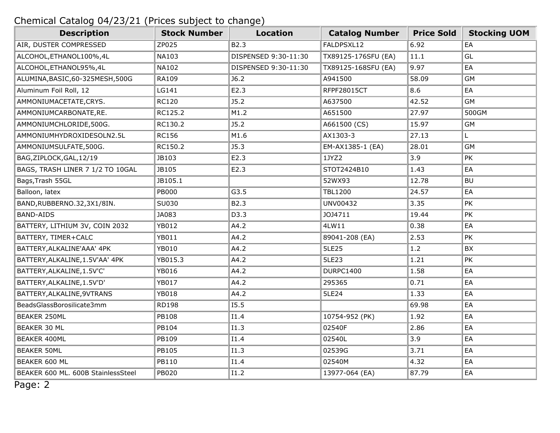| <b>Description</b>                 | <b>Stock Number</b> | <b>Location</b>      | <b>Catalog Number</b> | <b>Price Sold</b> | <b>Stocking UOM</b> |
|------------------------------------|---------------------|----------------------|-----------------------|-------------------|---------------------|
| AIR, DUSTER COMPRESSED             | ZP025               | B2.3                 | FALDPSXL12            | 6.92              | EA                  |
| ALCOHOL, ETHANOL100%, 4L           | <b>NA103</b>        | DISPENSED 9:30-11:30 | TX89125-176SFU (EA)   | 11.1              | GL                  |
| ALCOHOL, ETHANOL95%, 4L            | <b>NA102</b>        | DISPENSED 9:30-11:30 | TX89125-168SFU (EA)   | 9.97              | EA                  |
| ALUMINA, BASIC, 60-325MESH, 500G   | RA109               | J6.2                 | A941500               | 58.09             | <b>GM</b>           |
| Aluminum Foil Roll, 12             | LG141               | E2.3                 | RFPF28015CT           | 8.6               | EA                  |
| AMMONIUMACETATE, CRYS.             | <b>RC120</b>        | J5.2                 | A637500               | 42.52             | <b>GM</b>           |
| AMMONIUMCARBONATE, RE.             | RC125.2             | M1.2                 | A651500               | 27.97             | 500GM               |
| AMMONIUMCHLORIDE,500G.             | RC130.2             | J5.2                 | A661500 (CS)          | 15.97             | <b>GM</b>           |
| AMMONIUMHYDROXIDESOLN2.5L          | <b>RC156</b>        | M1.6                 | AX1303-3              | 27.13             | L.                  |
| AMMONIUMSULFATE,500G.              | RC150.2             | J5.3                 | EM-AX1385-1 (EA)      | 28.01             | <b>GM</b>           |
| BAG, ZIPLOCK, GAL, 12/19           | JB103               | E2.3                 | 1JYZ2                 | 3.9               | <b>PK</b>           |
| BAGS, TRASH LINER 7 1/2 TO 10GAL   | JB105               | E2.3                 | STOT2424B10           | 1.43              | EA                  |
| Bags, Trash 55GL                   | JB105.1             |                      | 52WX93                | 12.78             | <b>BU</b>           |
| Balloon, latex                     | <b>PB000</b>        | G3.5                 | <b>TBL1200</b>        | 24.57             | EA                  |
| BAND, RUBBERNO. 32, 3X1/8IN.       | SU030               | B2.3                 | UNV00432              | 3.35              | PK                  |
| <b>BAND-AIDS</b>                   | JA083               | D3.3                 | JOJ4711               | 19.44             | PK                  |
| BATTERY, LITHIUM 3V, COIN 2032     | YB012               | A4.2                 | 4LW11                 | 0.38              | EA                  |
| BATTERY, TIMER+CALC                | YB011               | A4.2                 | 89041-208 (EA)        | 2.53              | <b>PK</b>           |
| BATTERY, ALKALINE'AAA' 4PK         | YB010               | A4.2                 | <b>5LE25</b>          | 1.2               | BX                  |
| BATTERY, ALKALINE, 1.5V'AA' 4PK    | YB015.3             | A4.2                 | <b>5LE23</b>          | 1.21              | PK                  |
| BATTERY, ALKALINE, 1.5V'C'         | YB016               | A4.2                 | <b>DURPC1400</b>      | 1.58              | EA                  |
| BATTERY, ALKALINE, 1.5V'D'         | YB017               | A4.2                 | 295365                | 0.71              | EA                  |
| BATTERY, ALKALINE, 9VTRANS         | <b>YB018</b>        | A4.2                 | 5LE24                 | 1.33              | EA                  |
| BeadsGlassBorosilicate3mm          | <b>RD198</b>        | I5.5                 |                       | 69.98             | EA                  |
| <b>BEAKER 250ML</b>                | PB108               | I1.4                 | 10754-952 (PK)        | 1.92              | EA                  |
| BEAKER 30 ML                       | PB104               | I1.3                 | 02540F                | 2.86              | EA                  |
| <b>BEAKER 400ML</b>                | PB109               | I1.4                 | 02540L                | 3.9               | EA                  |
| <b>BEAKER 50ML</b>                 | PB105               | I1.3                 | 02539G                | 3.71              | EA                  |
| BEAKER 600 ML                      | PB110               | I1.4                 | 02540M                | 4.32              | EA                  |
| BEAKER 600 ML. 600B StainlessSteel | PB020               | I1.2                 | 13977-064 (EA)        | 87.79             | EA                  |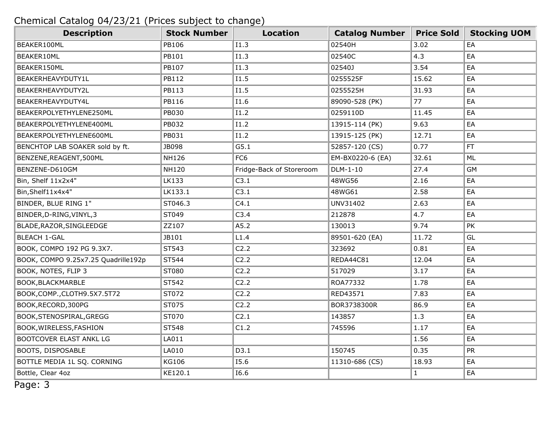| <b>Description</b>                  | <b>Stock Number</b> | <b>Location</b>          | <b>Catalog Number</b> | <b>Price Sold</b> | <b>Stocking UOM</b> |
|-------------------------------------|---------------------|--------------------------|-----------------------|-------------------|---------------------|
| BEAKER100ML                         | PB106               | I1.3                     | 02540H                | 3.02              | EA                  |
| BEAKER10ML                          | PB101               | I1.3                     | 02540C                | 4.3               | EA                  |
| BEAKER150ML                         | PB107               | I1.3                     | 02540J                | 3.54              | EA                  |
| BEAKERHEAVYDUTY1L                   | <b>PB112</b>        | I1.5                     | 0255525F              | 15.62             | EA                  |
| BEAKERHEAVYDUTY2L                   | PB113               | I1.5                     | 0255525H              | 31.93             | EA                  |
| BEAKERHEAVYDUTY4L                   | PB116               | I1.6                     | 89090-528 (PK)        | 77                | EA                  |
| BEAKERPOLYETHYLENE250ML             | PB030               | I1.2                     | 0259110D              | 11.45             | EA                  |
| BEAKERPOLYETHYLENE400ML             | PB032               | I1.2                     | 13915-114 (PK)        | 9.63              | EA                  |
| BEAKERPOLYETHYLENE600ML             | PB031               | I1.2                     | 13915-125 (PK)        | 12.71             | EA                  |
| BENCHTOP LAB SOAKER sold by ft.     | JB098               | G5.1                     | 52857-120 (CS)        | 0.77              | <b>FT</b>           |
| BENZENE, REAGENT, 500ML             | <b>NH126</b>        | FC <sub>6</sub>          | EM-BX0220-6 (EA)      | 32.61             | ML                  |
| BENZENE-D610GM                      | <b>NH120</b>        | Fridge-Back of Storeroom | DLM-1-10              | 27.4              | <b>GM</b>           |
| Bin, Shelf 11x2x4"                  | LK133               | C3.1                     | 48WG56                | 2.16              | EA                  |
| Bin, Shelf11x4x4"                   | LK133.1             | C3.1                     | 48WG61                | 2.58              | EA                  |
| BINDER, BLUE RING 1"                | ST046.3             | C4.1                     | UNV31402              | 2.63              | EA                  |
| BINDER, D-RING, VINYL, 3            | ST049               | C3.4                     | 212878                | 4.7               | EA                  |
| BLADE, RAZOR, SINGLEEDGE            | ZZ107               | A5.2                     | 130013                | 9.74              | PK                  |
| <b>BLEACH 1-GAL</b>                 | JB101               | L1.4                     | 89501-620 (EA)        | 11.72             | GL                  |
| BOOK, COMPO 192 PG 9.3X7.           | ST543               | C2.2                     | 323692                | 0.81              | EA                  |
| BOOK, COMPO 9.25x7.25 Quadrille192p | ST544               | C2.2                     | REDA44C81             | 12.04             | EA                  |
| BOOK, NOTES, FLIP 3                 | ST080               | C2.2                     | 517029                | 3.17              | EA                  |
| BOOK, BLACKMARBLE                   | ST542               | C2.2                     | ROA77332              | 1.78              | EA                  |
| BOOK, COMP., CLOTH9.5X7.5T72        | ST072               | C2.2                     | RED43571              | 7.83              | EA                  |
| BOOK, RECORD, 300PG                 | ST075               | C2.2                     | BOR3738300R           | 86.9              | EA                  |
| BOOK, STENOSPIRAL, GREGG            | ST070               | C2.1                     | 143857                | 1.3               | EA                  |
| BOOK, WIRELESS, FASHION             | ST548               | C1.2                     | 745596                | 1.17              | EA                  |
| BOOTCOVER ELAST ANKL LG             | LA011               |                          |                       | 1.56              | EA                  |
| BOOTS, DISPOSABLE                   | LA010               | D3.1                     | 150745                | 0.35              | PR                  |
| BOTTLE MEDIA 1L SQ. CORNING         | <b>KG106</b>        | I5.6                     | 11310-686 (CS)        | 18.93             | EA                  |
| Bottle, Clear 4oz                   | KE120.1             | I6.6                     |                       | $\mathbf{1}$      | EA                  |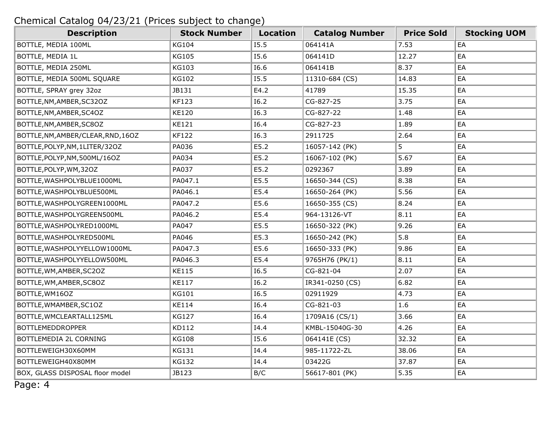| <b>Description</b>                 | <b>Stock Number</b> | <b>Location</b> | <b>Catalog Number</b> | <b>Price Sold</b> | <b>Stocking UOM</b> |
|------------------------------------|---------------------|-----------------|-----------------------|-------------------|---------------------|
| BOTTLE, MEDIA 100ML                | <b>KG104</b>        | I5.5            | 064141A               | 7.53              | EA                  |
| BOTTLE, MEDIA 1L                   | <b>KG105</b>        | I5.6            | 064141D               | 12.27             | EA                  |
| BOTTLE, MEDIA 250ML                | <b>KG103</b>        | I6.6            | 064141B               | 8.37              | EA                  |
| BOTTLE, MEDIA 500ML SQUARE         | <b>KG102</b>        | I5.5            | 11310-684 (CS)        | 14.83             | EA                  |
| BOTTLE, SPRAY grey 32oz            | JB131               | E4.2            | 41789                 | 15.35             | EA                  |
| BOTTLE, NM, AMBER, SC32OZ          | <b>KF123</b>        | I6.2            | CG-827-25             | 3.75              | EA                  |
| BOTTLE, NM, AMBER, SC4OZ           | <b>KE120</b>        | I6.3            | CG-827-22             | 1.48              | EA                  |
| BOTTLE, NM, AMBER, SC8OZ           | <b>KE121</b>        | I6.4            | CG-827-23             | 1.89              | EA                  |
| BOTTLE, NM, AMBER/CLEAR, RND, 160Z | <b>KF122</b>        | I6.3            | 2911725               | 2.64              | EA                  |
| BOTTLE, POLYP, NM, 1LITER/32OZ     | PA036               | E5.2            | 16057-142 (PK)        | 5                 | EA                  |
| BOTTLE, POLYP, NM, 500ML/16OZ      | PA034               | E5.2            | 16067-102 (PK)        | 5.67              | EA                  |
| BOTTLE, POLYP, WM, 32OZ            | PA037               | E5.2            | 0292367               | 3.89              | EA                  |
| BOTTLE, WASHPOLYBLUE1000ML         | PA047.1             | E5.5            | 16650-344 (CS)        | 8.38              | EA                  |
| BOTTLE, WASHPOLYBLUE500ML          | PA046.1             | E5.4            | 16650-264 (PK)        | 5.56              | EA                  |
| BOTTLE, WASHPOLYGREEN1000ML        | PA047.2             | E5.6            | 16650-355 (CS)        | 8.24              | EA                  |
| BOTTLE, WASHPOLYGREEN500ML         | PA046.2             | E5.4            | 964-13126-VT          | 8.11              | EA                  |
| BOTTLE, WASHPOLYRED1000ML          | PA047               | E5.5            | 16650-322 (PK)        | 9.26              | EA                  |
| BOTTLE, WASHPOLYRED500ML           | PA046               | E5.3            | 16650-242 (PK)        | 5.8               | EA                  |
| BOTTLE, WASHPOLYYELLOW1000ML       | PA047.3             | E5.6            | 16650-333 (PK)        | 9.86              | EA                  |
| BOTTLE, WASHPOLYYELLOW500ML        | PA046.3             | E5.4            | 9765H76 (PK/1)        | 8.11              | EA                  |
| BOTTLE, WM, AMBER, SC2OZ           | <b>KE115</b>        | 16.5            | CG-821-04             | 2.07              | EA                  |
| BOTTLE, WM, AMBER, SC8OZ           | <b>KE117</b>        | I6.2            | IR341-0250 (CS)       | 6.82              | EA                  |
| BOTTLE, WM16OZ                     | <b>KG101</b>        | I6.5            | 02911929              | 4.73              | EA                  |
| BOTTLE, WMAMBER, SC10Z             | <b>KE114</b>        | I6.4            | CG-821-03             | 1.6               | EA                  |
| BOTTLE, WMCLEARTALL125ML           | <b>KG127</b>        | I6.4            | 1709A16 (CS/1)        | 3.66              | EA                  |
| <b>BOTTLEMEDDROPPER</b>            | KD112               | I4.4            | KMBL-15040G-30        | 4.26              | EA                  |
| BOTTLEMEDIA 2L CORNING             | <b>KG108</b>        | I5.6            | 064141E (CS)          | 32.32             | EA                  |
| BOTTLEWEIGH30X60MM                 | <b>KG131</b>        | I4.4            | 985-11722-ZL          | 38.06             | EA                  |
| BOTTLEWEIGH40X80MM                 | <b>KG132</b>        | I4.4            | 03422G                | 37.87             | EA                  |
| BOX, GLASS DISPOSAL floor model    | JB123               | B/C             | 56617-801 (PK)        | 5.35              | EA                  |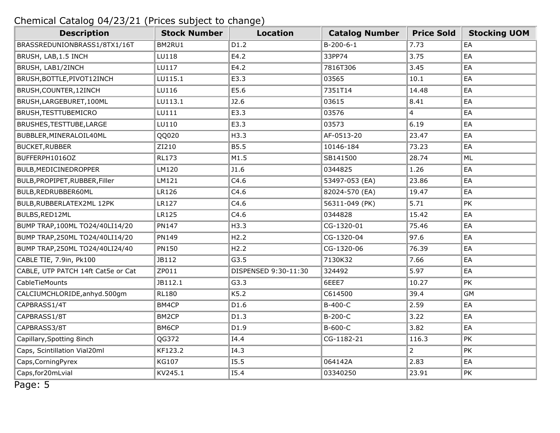| <b>Description</b>                 | <b>Stock Number</b> | <b>Location</b>      | <b>Catalog Number</b> | <b>Price Sold</b> | <b>Stocking UOM</b> |
|------------------------------------|---------------------|----------------------|-----------------------|-------------------|---------------------|
| BRASSREDUNIONBRASS1/8TX1/16T       | BM2RU1              | D1.2                 | $B-200-6-1$           | 7.73              | EA                  |
| BRUSH, LAB, 1.5 INCH               | LU118               | E4.2                 | 33PP74                | 3.75              | EA                  |
| BRUSH, LAB1/2INCH                  | LU117               | E4.2                 | 7816T306              | 3.45              | EA                  |
| BRUSH, BOTTLE, PIVOT12INCH         | LU115.1             | E3.3                 | 03565                 | 10.1              | EA                  |
| BRUSH, COUNTER, 12INCH             | LU116               | E5.6                 | 7351T14               | 14.48             | EA                  |
| BRUSH, LARGEBURET, 100ML           | LU113.1             | J2.6                 | 03615                 | 8.41              | EA                  |
| BRUSH, TESTTUBEMICRO               | LU111               | E3.3                 | 03576                 | $\overline{4}$    | EA                  |
| BRUSHES, TESTTUBE, LARGE           | LU110               | E3.3                 | 03573                 | 6.19              | EA                  |
| BUBBLER, MINERALOIL40ML            | QQ020               | H3.3                 | AF-0513-20            | 23.47             | EA                  |
| <b>BUCKET, RUBBER</b>              | ZI210               | <b>B5.5</b>          | 10146-184             | 73.23             | EA                  |
| BUFFERPH1016OZ                     | <b>RL173</b>        | M1.5                 | SB141500              | 28.74             | ML                  |
| BULB, MEDICINEDROPPER              | LM120               | J1.6                 | 0344825               | 1.26              | EA                  |
| BULB, PROPIPET, RUBBER, Filler     | LM121               | C4.6                 | 53497-053 (EA)        | 23.86             | EA                  |
| BULB, REDRUBBER60ML                | LR126               | C4.6                 | 82024-570 (EA)        | 19.47             | EA                  |
| BULB, RUBBERLATEX2ML 12PK          | <b>LR127</b>        | C4.6                 | 56311-049 (PK)        | 5.71              | PK                  |
| BULBS, RED12ML                     | <b>LR125</b>        | C4.6                 | 0344828               | 15.42             | EA                  |
| BUMP TRAP, 100ML TO24/40LI14/20    | <b>PN147</b>        | H3.3                 | CG-1320-01            | 75.46             | EA                  |
| BUMP TRAP, 250ML TO 24/40LI14/20   | PN149               | H2.2                 | CG-1320-04            | 97.6              | EA                  |
| BUMP TRAP, 250ML TO 24/40LI24/40   | <b>PN150</b>        | H2.2                 | CG-1320-06            | 76.39             | EA                  |
| CABLE TIE, 7.9in, Pk100            | JB112               | G3.5                 | 7130K32               | 7.66              | EA                  |
| CABLE, UTP PATCH 14ft Cat5e or Cat | ZP011               | DISPENSED 9:30-11:30 | 324492                | 5.97              | EA                  |
| CableTieMounts                     | JB112.1             | G3.3                 | 6EEE7                 | 10.27             | PK                  |
| CALCIUMCHLORIDE, anhyd. 500gm      | <b>RL180</b>        | K5.2                 | C614500               | 39.4              | <b>GM</b>           |
| CAPBRASS1/4T                       | BM4CP               | D1.6                 | B-400-C               | 2.59              | EA                  |
| CAPBRASS1/8T                       | BM2CP               | D1.3                 | B-200-C               | 3.22              | EA                  |
| CAPBRASS3/8T                       | BM6CP               | D1.9                 | B-600-C               | 3.82              | EA                  |
| Capillary, Spotting 8inch          | QG372               | I4.4                 | CG-1182-21            | 116.3             | PK                  |
| Caps, Scintillation Vial20ml       | KF123.2             | I4.3                 |                       | $\overline{2}$    | PK                  |
| Caps, Corning Pyrex                | <b>KG107</b>        | 15.5                 | 064142A               | 2.83              | EA                  |
| Caps, for 20mLvial                 | KV245.1             | I5.4                 | 03340250              | 23.91             | PK                  |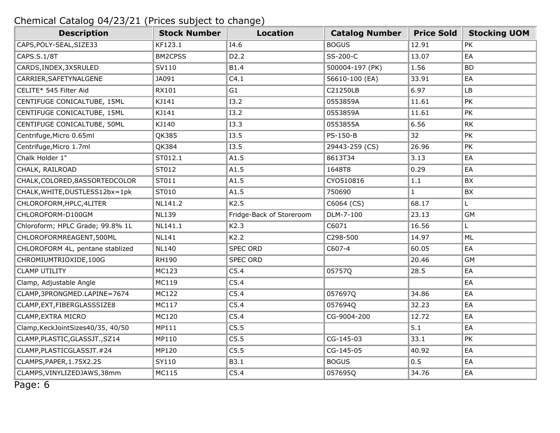| <b>Description</b>                | <b>Stock Number</b> | <b>Location</b>          | <b>Catalog Number</b> | <b>Price Sold</b> | <b>Stocking UOM</b> |
|-----------------------------------|---------------------|--------------------------|-----------------------|-------------------|---------------------|
| CAPS, POLY-SEAL, SIZE33           | KF123.1             | I4.6                     | <b>BOGUS</b>          | 12.91             | PK                  |
| CAPS.S.1/8T                       | <b>BM2CPSS</b>      | D <sub>2</sub> .2        | SS-200-C              | 13.07             | EA                  |
| CARDS, INDEX, 3X5RULED            | SV110               | B1.4                     | 500004-197 (PK)       | 1.56              | <b>BD</b>           |
| CARRIER, SAFETYNALGENE            | JA091               | C4.1                     | 56610-100 (EA)        | 33.91             | EA                  |
| CELITE* 545 Filter Aid            | RX101               | G1                       | C21250LB              | 6.97              | <b>LB</b>           |
| CENTIFUGE CONICALTUBE, 15ML       | KJ141               | <b>I3.2</b>              | 0553859A              | 11.61             | PK                  |
| CENTIFUGE CONICALTUBE, 15ML       | KJ141               | <b>I3.2</b>              | 0553859A              | 11.61             | PK                  |
| CENTIFUGE CONICALTUBE, 50ML       | KJ140               | <b>I3.3</b>              | 0553855A              | 6.56              | RK                  |
| Centrifuge, Micro 0.65ml          | QK385               | I3.5                     | PS-150-B              | 32                | PK                  |
| Centrifuge, Micro 1.7ml           | QK384               | I3.5                     | 29443-259 (CS)        | 26.96             | PK                  |
| Chalk Holder 1"                   | ST012.1             | A1.5                     | 8613T34               | 3.13              | EA                  |
| CHALK, RAILROAD                   | ST012               | A1.5                     | 1648T8                | 0.29              | EA                  |
| CHALK, COLORED, 8ASSORTEDCOLOR    | ST011               | A1.5                     | CY0510816             | $1.1\,$           | BX                  |
| CHALK, WHITE, DUSTLESS12bx=1pk    | ST010               | A1.5                     | 750690                | $\mathbf{1}$      | BX                  |
| CHLOROFORM, HPLC, 4LITER          | NL141.2             | K2.5                     | C6064 (CS)            | 68.17             | L.                  |
| CHLOROFORM-D100GM                 | <b>NL139</b>        | Fridge-Back of Storeroom | DLM-7-100             | 23.13             | <b>GM</b>           |
| Chloroform; HPLC Grade; 99.8% 1L  | NL141.1             | K2.3                     | C6071                 | 16.56             | L.                  |
| CHLOROFORMREAGENT,500ML           | <b>NL141</b>        | K2.2                     | C298-500              | 14.97             | ML                  |
| CHLOROFORM 4L, pentane stablized  | <b>NL140</b>        | <b>SPEC ORD</b>          | C607-4                | 60.05             | EA                  |
| CHROMIUMTRIOXIDE,100G             | <b>RH190</b>        | <b>SPEC ORD</b>          |                       | 20.46             | <b>GM</b>           |
| <b>CLAMP UTILITY</b>              | MC123               | C5.4                     | 05757Q                | 28.5              | EA                  |
| Clamp, Adjustable Angle           | MC119               | C5.4                     |                       |                   | EA                  |
| CLAMP, 3PRONGMED.LAPINE=7674      | MC122               | C5.4                     | 057697Q               | 34.86             | EA                  |
| CLAMP, EXT, FIBERGLASSSIZE8       | MC117               | C5.4                     | 057694Q               | 32.23             | EA                  |
| CLAMP, EXTRA MICRO                | MC120               | C5.4                     | CG-9004-200           | 12.72             | EA                  |
| Clamp, KeckJointSizes40/35, 40/50 | MP111               | C5.5                     |                       | 5.1               | EA                  |
| CLAMP, PLASTIC, GLASSJT., SZ14    | MP110               | C5.5                     | CG-145-03             | 33.1              | PK                  |
| CLAMP, PLASTICGLASSJT. #24        | MP120               | C5.5                     | CG-145-05             | 40.92             | EA                  |
| CLAMPS, PAPER, 1.75X2.25          | SY110               | B3.1                     | <b>BOGUS</b>          | 0.5               | EA                  |
| CLAMPS, VINYLIZEDJAWS, 38mm       | MC115               | C5.4                     | 057695Q               | 34.76             | EA                  |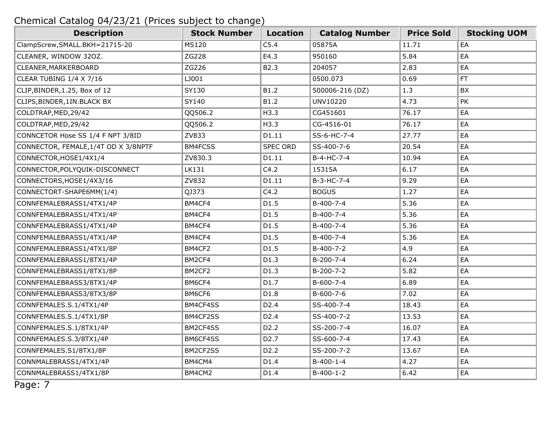| <b>Description</b>                   | <b>Stock Number</b> | <b>Location</b>   | <b>Catalog Number</b> | <b>Price Sold</b> | <b>Stocking UOM</b> |
|--------------------------------------|---------------------|-------------------|-----------------------|-------------------|---------------------|
| ClampScrew, SMALL. BKH=21715-20      | <b>MS120</b>        | C5.4              | 05875A                | 11.71             | EA                  |
| CLEANER, WINDOW 320Z.                | ZG228               | E4.3              | 950160                | 5.84              | EA                  |
| CLEANER, MARKERBOARD                 | ZG226               | B2.3              | 204057                | 2.83              | EA                  |
| CLEAR TUBING 1/4 X 7/16              | LJ001               |                   | 0500.073              | 0.69              | FT.                 |
| CLIP, BINDER, 1.25, Box of 12        | SY130               | B1.2              | 500006-216 (DZ)       | 1.3               | BX                  |
| CLIPS, BINDER, 1IN. BLACK BX         | SY140               | B1.2              | UNV10220              | 4.73              | PK                  |
| COLDTRAP, MED, 29/42                 | QQ506.2             | H3.3              | CG451601              | 76.17             | EA                  |
| COLDTRAP, MED, 29/42                 | QQ506.2             | H3.3              | CG-4516-01            | 76.17             | EA                  |
| CONNCETOR Hose SS 1/4 F NPT 3/8ID    | ZV833               | D1.11             | SS-6-HC-7-4           | 27.77             | EA                  |
| CONNECTOR, FEMALE, 1/4T OD X 3/8NPTF | <b>BM4FCSS</b>      | <b>SPEC ORD</b>   | SS-400-7-6            | 20.54             | EA                  |
| CONNECTOR, HOSE1/4X1/4               | ZV830.3             | D1.11             | B-4-HC-7-4            | 10.94             | EA                  |
| CONNECTOR, POLYQUIK-DISCONNECT       | LK131               | C4.2              | 15315A                | 6.17              | EA                  |
| CONNECTORS, HOSE1/4X3/16             | ZV832               | D1.11             | B-3-HC-7-4            | 9.29              | EA                  |
| CONNECTORT-SHAPE6MM(1/4)             | QJ373               | C4.2              | <b>BOGUS</b>          | 1.27              | EA                  |
| CONNFEMALEBRASS1/4TX1/4P             | BM4CF4              | D1.5              | B-400-7-4             | 5.36              | EA                  |
| CONNFEMALEBRASS1/4TX1/4P             | BM4CF4              | D1.5              | B-400-7-4             | 5.36              | EA                  |
| CONNFEMALEBRASS1/4TX1/4P             | BM4CF4              | D1.5              | B-400-7-4             | 5.36              | EA                  |
| CONNFEMALEBRASS1/4TX1/4P             | BM4CF4              | D1.5              | B-400-7-4             | 5.36              | EA                  |
| CONNFEMALEBRASS1/4TX1/8P             | BM4CF2              | D1.5              | B-400-7-2             | 4.9               | EA                  |
| CONNFEMALEBRASS1/8TX1/4P             | BM2CF4              | D1.3              | B-200-7-4             | 6.24              | EA                  |
| CONNFEMALEBRASS1/8TX1/8P             | BM2CF2              | D1.3              | $B-200-7-2$           | 5.82              | EA                  |
| CONNFEMALEBRASS3/8TX1/4P             | BM6CF4              | D1.7              | B-600-7-4             | 6.89              | EA                  |
| CONNFEMALEBRASS3/8TX3/8P             | BM6CF6              | D1.8              | B-600-7-6             | 7.02              | EA                  |
| CONNFEMALES.S.1/4TX1/4P              | BM4CF4SS            | D <sub>2.4</sub>  | SS-400-7-4            | 18.43             | EA                  |
| CONNFEMALES.S.1/4TX1/8P              | BM4CF2SS            | D <sub>2.4</sub>  | SS-400-7-2            | 13.53             | EA                  |
| CONNFEMALES.S.1/8TX1/4P              | BM2CF4SS            | D <sub>2</sub> .2 | SS-200-7-4            | 16.07             | EA                  |
| CONNFEMALES.S.3/8TX1/4P              | BM6CF4SS            | D <sub>2</sub> .7 | SS-600-7-4            | 17.43             | EA                  |
| CONNFEMALES.S1/8TX1/8P               | BM2CF2SS            | D <sub>2</sub> .2 | SS-200-7-2            | 13.67             | EA                  |
| CONNMALEBRASS1/4TX1/4P               | BM4CM4              | D1.4              | $B-400-1-4$           | 4.27              | EA                  |
| CONNMALEBRASS1/4TX1/8P               | BM4CM2              | D1.4              | $B-400-1-2$           | 6.42              | EA                  |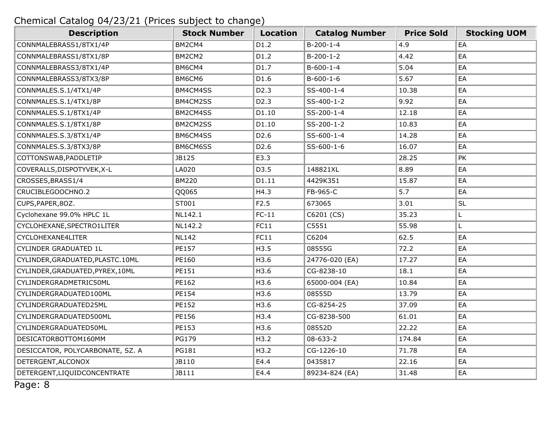| <b>Description</b>                | <b>Stock Number</b> | <b>Location</b>   | <b>Catalog Number</b> | <b>Price Sold</b> | <b>Stocking UOM</b> |
|-----------------------------------|---------------------|-------------------|-----------------------|-------------------|---------------------|
| CONNMALEBRASS1/8TX1/4P            | BM2CM4              | D1.2              | $B-200-1-4$           | 4.9               | EA                  |
| CONNMALEBRASS1/8TX1/8P            | BM2CM2              | D1.2              | $B-200-1-2$           | 4.42              | EA                  |
| CONNMALEBRASS3/8TX1/4P            | BM6CM4              | D1.7              | $B-600-1-4$           | 5.04              | EA                  |
| CONNMALEBRASS3/8TX3/8P            | BM6CM6              | D1.6              | $B-600-1-6$           | 5.67              | EA                  |
| CONNMALES.S.1/4TX1/4P             | BM4CM4SS            | D <sub>2</sub> .3 | SS-400-1-4            | 10.38             | EA                  |
| CONNMALES.S.1/4TX1/8P             | BM4CM2SS            | D <sub>2</sub> .3 | SS-400-1-2            | 9.92              | EA                  |
| CONNMALES.S.1/8TX1/4P             | BM2CM4SS            | D1.10             | SS-200-1-4            | 12.18             | EA                  |
| CONNMALES.S.1/8TX1/8P             | BM2CM2SS            | D1.10             | SS-200-1-2            | 10.83             | EA                  |
| CONNMALES.S.3/8TX1/4P             | BM6CM4SS            | D <sub>2.6</sub>  | SS-600-1-4            | 14.28             | EA                  |
| CONNMALES.S.3/8TX3/8P             | BM6CM6SS            | D <sub>2.6</sub>  | SS-600-1-6            | 16.07             | EA                  |
| COTTONSWAB, PADDLETIP             | JB125               | E3.3              |                       | 28.25             | PK                  |
| COVERALLS, DISPOTYVEK, X-L        | LA020               | D3.5              | 148821XL              | 8.89              | EA                  |
| CROSSES, BRASS1/4                 | <b>BM220</b>        | D1.11             | 4429K351              | 15.87             | EA                  |
| CRUCIBLEGOOCHNO.2                 | QQ065               | H4.3              | FB-965-C              | 5.7               | EA                  |
| CUPS, PAPER, 80Z.                 | ST001               | F2.5              | 673065                | 3.01              | SL                  |
| Cyclohexane 99.0% HPLC 1L         | NL142.1             | $FC-11$           | C6201 (CS)            | 35.23             | Г                   |
| CYCLOHEXANE, SPECTRO1LITER        | NL142.2             | FC11              | C5551                 | 55.98             | L.                  |
| CYCLOHEXANE4LITER                 | <b>NL142</b>        | FC11              | C6204                 | 62.5              | EA                  |
| CYLINDER GRADUATED 1L             | PE157               | H3.5              | 08555G                | 72.2              | EA                  |
| CYLINDER, GRADUATED, PLASTC. 10ML | PE160               | H3.6              | 24776-020 (EA)        | 17.27             | EA                  |
| CYLINDER, GRADUATED, PYREX, 10ML  | PE151               | H3.6              | CG-8238-10            | 18.1              | EA                  |
| CYLINDERGRADMETRIC50ML            | PE162               | H3.6              | 65000-004 (EA)        | 10.84             | EA                  |
| CYLINDERGRADUATED100ML            | PE154               | H3.6              | 08555D                | 13.79             | EA                  |
| CYLINDERGRADUATED25ML             | PE152               | H3.6              | CG-8254-25            | 37.09             | EA                  |
| CYLINDERGRADUATED500ML            | PE156               | H3.4              | CG-8238-500           | 61.01             | EA                  |
| CYLINDERGRADUATED50ML             | PE153               | H3.6              | 08552D                | 22.22             | EA                  |
| DESICATORBOTTOM160MM              | PG179               | H3.2              | 08-633-2              | 174.84            | EA                  |
| DESICCATOR, POLYCARBONATE, SZ. A  | PG181               | H3.2              | CG-1226-10            | 71.78             | EA                  |
| DETERGENT, ALCONOX                | JB110               | E4.4              | 0435817               | 22.16             | EA                  |
| DETERGENT, LIQUIDCONCENTRATE      | JB111               | E4.4              | 89234-824 (EA)        | 31.48             | EA                  |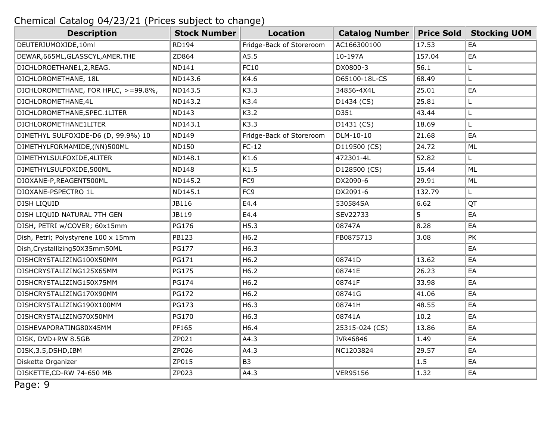| <b>Description</b>                  | <b>Stock Number</b> | <b>Location</b>          | <b>Catalog Number</b> | <b>Price Sold</b> | <b>Stocking UOM</b> |
|-------------------------------------|---------------------|--------------------------|-----------------------|-------------------|---------------------|
| DEUTERIUMOXIDE,10ml                 | <b>RD194</b>        | Fridge-Back of Storeroom | AC166300100           | 17.53             | EA                  |
| DEWAR, 665ML, GLASSCYL, AMER. THE   | ZD864               | A5.5                     | 10-197A               | 157.04            | EA                  |
| DICHLOROETHANE1,2,REAG.             | <b>ND141</b>        | FC10                     | DX0800-3              | 56.1              | Г                   |
| DICHLOROMETHANE, 18L                | ND143.6             | K4.6                     | D65100-18L-CS         | 68.49             | L.                  |
| DICHLOROMETHANE, FOR HPLC, >=99.8%, | ND143.5             | K3.3                     | 34856-4X4L            | 25.01             | EA                  |
| DICHLOROMETHANE, 4L                 | ND143.2             | K3.4                     | D1434 (CS)            | 25.81             | Г                   |
| DICHLOROMETHANE, SPEC. 1LITER       | <b>ND143</b>        | K3.2                     | D351                  | 43.44             | Г                   |
| DICHLOROMETHANE1LITER               | ND143.1             | K3.3                     | D1431 (CS)            | 18.69             | L                   |
| DIMETHYL SULFOXIDE-D6 (D, 99.9%) 10 | <b>ND149</b>        | Fridge-Back of Storeroom | DLM-10-10             | 21.68             | EA                  |
| DIMETHYLFORMAMIDE, (NN)500ML        | <b>ND150</b>        | $FC-12$                  | D119500 (CS)          | 24.72             | ML                  |
| DIMETHYLSULFOXIDE, 4LITER           | ND148.1             | K1.6                     | 472301-4L             | 52.82             | L                   |
| DIMETHYLSULFOXIDE,500ML             | <b>ND148</b>        | K1.5                     | D128500 (CS)          | 15.44             | ML                  |
| DIOXANE-P, REAGENT500ML             | ND145.2             | FC <sub>9</sub>          | DX2090-6              | 29.91             | ML                  |
| DIOXANE-PSPECTRO 1L                 | ND145.1             | FC <sub>9</sub>          | DX2091-6              | 132.79            | L.                  |
| DISH LIQUID                         | JB116               | E4.4                     | 530584SA              | 6.62              | QT                  |
| DISH LIQUID NATURAL 7TH GEN         | JB119               | E4.4                     | SEV22733              | 5                 | EA                  |
| DISH, PETRI w/COVER; 60x15mm        | <b>PG176</b>        | H5.3                     | 08747A                | 8.28              | EA                  |
| Dish, Petri; Polystyrene 100 x 15mm | PB123               | H6.2                     | FB0875713             | 3.08              | PK                  |
| Dish, Crystallizing 50X35mm50ML     | <b>PG177</b>        | H6.3                     |                       |                   | EA                  |
| DISHCRYSTALIZING100X50MM            | PG171               | H6.2                     | 08741D                | 13.62             | EA                  |
| DISHCRYSTALIZING125X65MM            | <b>PG175</b>        | H6.2                     | 08741E                | 26.23             | EA                  |
| DISHCRYSTALIZING150X75MM            | <b>PG174</b>        | H6.2                     | 08741F                | 33.98             | EA                  |
| DISHCRYSTALIZING170X90MM            | <b>PG172</b>        | H6.2                     | 08741G                | 41.06             | EA                  |
| DISHCRYSTALIZING190X100MM           | <b>PG173</b>        | H6.3                     | 08741H                | 48.55             | EA                  |
| DISHCRYSTALIZING70X50MM             | <b>PG170</b>        | H6.3                     | 08741A                | 10.2              | EA                  |
| DISHEVAPORATING80X45MM              | PF165               | H6.4                     | 25315-024 (CS)        | 13.86             | EA                  |
| DISK, DVD+RW 8.5GB                  | ZP021               | A4.3                     | IVR46846              | 1.49              | EA                  |
| DISK, 3.5, DSHD, IBM                | ZP026               | A4.3                     | NC1203824             | 29.57             | EA                  |
| Diskette Organizer                  | ZP015               | B <sub>3</sub>           |                       | 1.5               | EA                  |
| DISKETTE, CD-RW 74-650 MB           | ZP023               | A4.3                     | <b>VER95156</b>       | 1.32              | EA                  |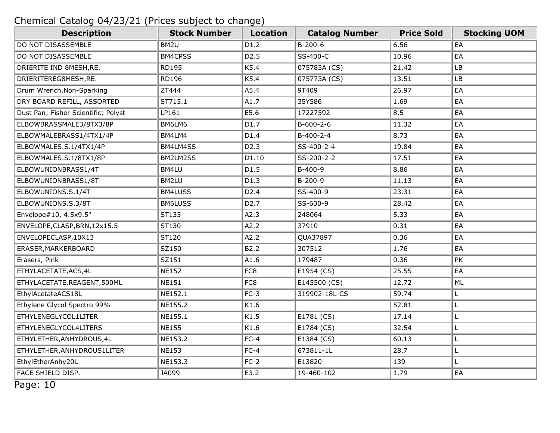| <b>Description</b>                  | <b>Stock Number</b> | Location          | <b>Catalog Number</b> | <b>Price Sold</b> | <b>Stocking UOM</b> |
|-------------------------------------|---------------------|-------------------|-----------------------|-------------------|---------------------|
| DO NOT DISASSEMBLE                  | BM2U                | D1.2              | $B-200-6$             | 6.56              | EA                  |
| DO NOT DISASSEMBLE                  | BM4CPSS             | D <sub>2</sub> .5 | SS-400-C              | 10.96             | EA                  |
| DRIERITE IND 8MESH, RE.             | <b>RD195</b>        | K5.4              | 075783A (CS)          | 21.42             | LB                  |
| DRIERITEREG8MESH, RE.               | <b>RD196</b>        | K5.4              | 075773A (CS)          | 13.51             | LB                  |
| Drum Wrench, Non-Sparking           | ZT444               | A5.4              | 9T409                 | 26.97             | EA                  |
| DRY BOARD REFILL, ASSORTED          | ST715.1             | A1.7              | 35Y586                | 1.69              | EA                  |
| Dust Pan; Fisher Scientific; Polyst | LP161               | E5.6              | 17227592              | 8.5               | EA                  |
| ELBOWBRASSMALE3/8TX3/8P             | BM6LM6              | D1.7              | $B-600-2-6$           | 11.32             | EA                  |
| ELBOWMALEBRASS1/4TX1/4P             | BM4LM4              | D1.4              | $B-400-2-4$           | 8.73              | EA                  |
| ELBOWMALES.S.1/4TX1/4P              | BM4LM4SS            | D <sub>2.3</sub>  | SS-400-2-4            | 19.84             | EA                  |
| ELBOWMALES.S.1/8TX1/8P              | BM2LM2SS            | D1.10             | SS-200-2-2            | 17.51             | EA                  |
| ELBOWUNIONBRASS1/4T                 | BM4LU               | D1.5              | $B-400-9$             | 8.86              | EA                  |
| ELBOWUNIONBRASS1/8T                 | BM2LU               | D1.3              | $B-200-9$             | 11.13             | EA                  |
| ELBOWUNIONS.S.1/4T                  | <b>BM4LUSS</b>      | D <sub>2.4</sub>  | SS-400-9              | 23.31             | EA                  |
| ELBOWUNIONS.S.3/8T                  | BM6LUSS             | D <sub>2</sub> .7 | SS-600-9              | 28.42             | EA                  |
| Envelope#10, 4.5x9.5"               | ST135               | A2.3              | 248064                | 5.33              | EA                  |
| ENVELOPE, CLASP, BRN, 12x15.5       | ST130               | A2.2              | 37910                 | 0.31              | EA                  |
| ENVELOPECLASP, 10X13                | ST120               | A2.2              | QUA37897              | 0.36              | EA                  |
| ERASER, MARKERBOARD                 | SZ150               | B2.2              | 307512                | 1.76              | EA                  |
| Erasers, Pink                       | SZ151               | A1.6              | 179487                | 0.36              | PK                  |
| ETHYLACETATE, ACS, 4L               | <b>NE152</b>        | FC8               | E1954 (CS)            | 25.55             | EA                  |
| ETHYLACETATE, REAGENT, 500ML        | <b>NE151</b>        | FC8               | E145500 (CS)          | 12.72             | ML                  |
| EthylAcetateACS18L                  | NE152.1             | $FC-3$            | 319902-18L-CS         | 59.74             | L                   |
| Ethylene Glycol Spectro 99%         | NE155.2             | K1.6              |                       | 52.81             | L                   |
| ETHYLENEGLYCOL1LITER                | NE155.1             | K1.5              | E1781 (CS)            | 17.14             | L                   |
| ETHYLENEGLYCOL4LITERS               | <b>NE155</b>        | K1.6              | E1784 (CS)            | 32.54             | Г                   |
| ETHYLETHER, ANHYDROUS, 4L           | NE153.2             | $FC-4$            | E1384 (CS)            | 60.13             | L                   |
| ETHYLETHER, ANHYDROUS1LITER         | <b>NE153</b>        | $FC-4$            | 673811-1L             | 28.7              | Г                   |
| EthylEtherAnhy20L                   | NE153.3             | $FC-2$            | E13820                | 139               | Г                   |
| FACE SHIELD DISP.                   | JA099               | E3.2              | 19-460-102            | 1.79              | EA                  |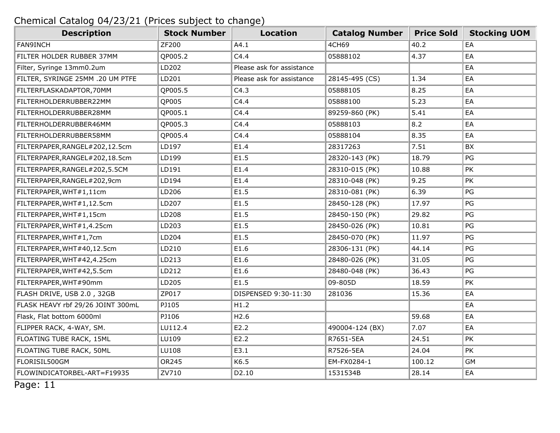| <b>Description</b>                | <b>Stock Number</b> | <b>Location</b>           | <b>Catalog Number</b> | <b>Price Sold</b> | <b>Stocking UOM</b> |
|-----------------------------------|---------------------|---------------------------|-----------------------|-------------------|---------------------|
| <b>FAN9INCH</b>                   | ZF200               | A4.1                      | 4CH69                 | 40.2              | EA                  |
| FILTER HOLDER RUBBER 37MM         | QP005.2             | C4.4                      | 05888102              | 4.37              | EA                  |
| Filter, Syringe 13mm0.2um         | LD202               | Please ask for assistance |                       |                   | EA                  |
| FILTER, SYRINGE 25MM .20 UM PTFE  | LD201               | Please ask for assistance | 28145-495 (CS)        | 1.34              | EA                  |
| FILTERFLASKADAPTOR, 70MM          | QP005.5             | C4.3                      | 05888105              | 8.25              | EA                  |
| FILTERHOLDERRUBBER22MM            | QP005               | C4.4                      | 05888100              | 5.23              | EA                  |
| FILTERHOLDERRUBBER28MM            | QP005.1             | C4.4                      | 89259-860 (PK)        | 5.41              | EA                  |
| FILTERHOLDERRUBBER46MM            | QP005.3             | C4.4                      | 05888103              | 8.2               | EA                  |
| FILTERHOLDERRUBBER58MM            | QP005.4             | C4.4                      | 05888104              | 8.35              | EA                  |
| FILTERPAPER, RANGEL#202, 12.5cm   | LD197               | E1.4                      | 28317263              | 7.51              | BX                  |
| FILTERPAPER, RANGEL#202, 18.5cm   | LD199               | E1.5                      | 28320-143 (PK)        | 18.79             | PG                  |
| FILTERPAPER, RANGEL#202, 5.5CM    | LD191               | E1.4                      | 28310-015 (PK)        | 10.88             | PK                  |
| FILTERPAPER, RANGEL#202, 9cm      | LD194               | E1.4                      | 28310-048 (PK)        | 9.25              | PK                  |
| FILTERPAPER, WHT#1,11cm           | LD206               | E1.5                      | 28310-081 (PK)        | 6.39              | PG                  |
| FILTERPAPER, WHT#1,12.5cm         | LD207               | E1.5                      | 28450-128 (PK)        | 17.97             | PG                  |
| FILTERPAPER, WHT#1,15cm           | LD208               | E1.5                      | 28450-150 (PK)        | 29.82             | PG                  |
| FILTERPAPER, WHT#1,4.25cm         | LD203               | E1.5                      | 28450-026 (PK)        | 10.81             | PG                  |
| FILTERPAPER, WHT#1,7cm            | LD204               | E1.5                      | 28450-070 (PK)        | 11.97             | PG                  |
| FILTERPAPER, WHT#40,12.5cm        | LD210               | E1.6                      | 28306-131 (PK)        | 44.14             | PG                  |
| FILTERPAPER, WHT#42,4.25cm        | LD213               | E1.6                      | 28480-026 (PK)        | 31.05             | PG                  |
| FILTERPAPER, WHT#42,5.5cm         | LD212               | E1.6                      | 28480-048 (PK)        | 36.43             | PG                  |
| FILTERPAPER, WHT#90mm             | LD205               | E1.5                      | 09-805D               | 18.59             | PK                  |
| FLASH DRIVE, USB 2.0, 32GB        | ZP017               | DISPENSED 9:30-11:30      | 281036                | 15.36             | EA                  |
| FLASK HEAVY rbf 29/26 JOINT 300mL | PJ105               | H1.2                      |                       |                   | EA                  |
| Flask, Flat bottom 6000ml         | PJ106               | H2.6                      |                       | 59.68             | EA                  |
| FLIPPER RACK, 4-WAY, SM.          | LU112.4             | E2.2                      | 490004-124 (BX)       | 7.07              | EA                  |
| FLOATING TUBE RACK, 15ML          | LU109               | E2.2                      | R7651-5EA             | 24.51             | PK                  |
| FLOATING TUBE RACK, 50ML          | LU108               | E3.1                      | R7526-5EA             | 24.04             | PK                  |
| FLORISIL500GM                     | OR245               | K6.5                      | EM-FX0284-1           | 100.12            | <b>GM</b>           |
| FLOWINDICATORBEL-ART=F19935       | ZV710               | D2.10                     | 1531534B              | 28.14             | EA                  |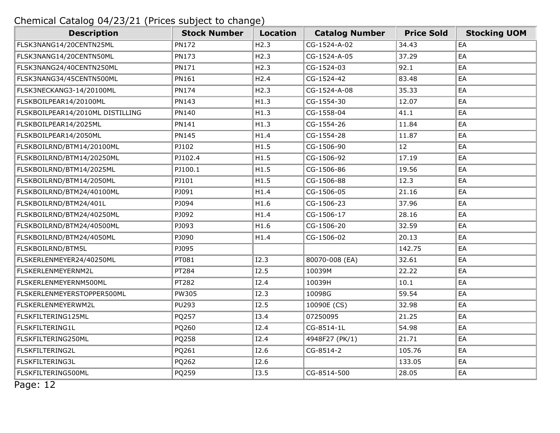| <b>Description</b>               | <b>Stock Number</b> | <b>Location</b> | <b>Catalog Number</b> | <b>Price Sold</b> | <b>Stocking UOM</b> |
|----------------------------------|---------------------|-----------------|-----------------------|-------------------|---------------------|
| FLSK3NANG14/20CENTN25ML          | <b>PN172</b>        | H2.3            | CG-1524-A-02          | 34.43             | EA                  |
| FLSK3NANG14/20CENTN50ML          | <b>PN173</b>        | H2.3            | CG-1524-A-05          | 37.29             | EA                  |
| FLSK3NANG24/40CENTN250ML         | <b>PN171</b>        | H2.3            | CG-1524-03            | 92.1              | EA                  |
| FLSK3NANG34/45CENTN500ML         | PN161               | H2.4            | CG-1524-42            | 83.48             | EA                  |
| FLSK3NECKANG3-14/20100ML         | <b>PN174</b>        | H2.3            | CG-1524-A-08          | 35.33             | EA                  |
| FLSKBOILPEAR14/20100ML           | <b>PN143</b>        | H1.3            | CG-1554-30            | 12.07             | EA                  |
| FLSKBOILPEAR14/2010ML DISTILLING | PN140               | H1.3            | CG-1558-04            | 41.1              | EA                  |
| FLSKBOILPEAR14/2025ML            | PN141               | H1.3            | CG-1554-26            | 11.84             | EA                  |
| FLSKBOILPEAR14/2050ML            | <b>PN145</b>        | H1.4            | CG-1554-28            | 11.87             | EA                  |
| FLSKBOILRND/BTM14/20100ML        | PJ102               | H1.5            | CG-1506-90            | 12                | EA                  |
| FLSKBOILRND/BTM14/20250ML        | PJ102.4             | H1.5            | CG-1506-92            | 17.19             | EA                  |
| FLSKBOILRND/BTM14/2025ML         | PJ100.1             | H1.5            | CG-1506-86            | 19.56             | EA                  |
| FLSKBOILRND/BTM14/2050ML         | PJ101               | H1.5            | CG-1506-88            | 12.3              | EA                  |
| FLSKBOILRND/BTM24/40100ML        | PJ091               | H1.4            | CG-1506-05            | 21.16             | EA                  |
| FLSKBOILRND/BTM24/401L           | PJ094               | H1.6            | CG-1506-23            | 37.96             | EA                  |
| FLSKBOILRND/BTM24/40250ML        | PJ092               | H1.4            | CG-1506-17            | 28.16             | EA                  |
| FLSKBOILRND/BTM24/40500ML        | PJ093               | H1.6            | CG-1506-20            | 32.59             | EA                  |
| FLSKBOILRND/BTM24/4050ML         | PJ090               | H1.4            | CG-1506-02            | 20.13             | EA                  |
| FLSKBOILRND/BTM5L                | PJ095               |                 |                       | 142.75            | EA                  |
| FLSKERLENMEYER24/40250ML         | PT081               | I2.3            | 80070-008 (EA)        | 32.61             | EA                  |
| FLSKERLENMEYERNM2L               | PT284               | I2.5            | 10039M                | 22.22             | EA                  |
| FLSKERLENMEYERNM500ML            | PT282               | <b>I2.4</b>     | 10039H                | 10.1              | EA                  |
| FLSKERLENMEYERSTOPPER500ML       | PW305               | I2.3            | 10098G                | 59.54             | EA                  |
| FLSKERLENMEYERWM2L               | <b>PU293</b>        | I2.5            | 10090E (CS)           | 32.98             | EA                  |
| FLSKFILTERING125ML               | PQ257               | I3.4            | 07250095              | 21.25             | EA                  |
| FLSKFILTERING1L                  | PQ260               | <b>I2.4</b>     | CG-8514-1L            | 54.98             | EA                  |
| FLSKFILTERING250ML               | PQ258               | I2.4            | 4948F27 (PK/1)        | 21.71             | EA                  |
| FLSKFILTERING2L                  | PQ261               | I2.6            | CG-8514-2             | 105.76            | EA                  |
| FLSKFILTERING3L                  | PQ262               | I2.6            |                       | 133.05            | EA                  |
| FLSKFILTERING500ML               | PQ259               | I3.5            | CG-8514-500           | 28.05             | EA                  |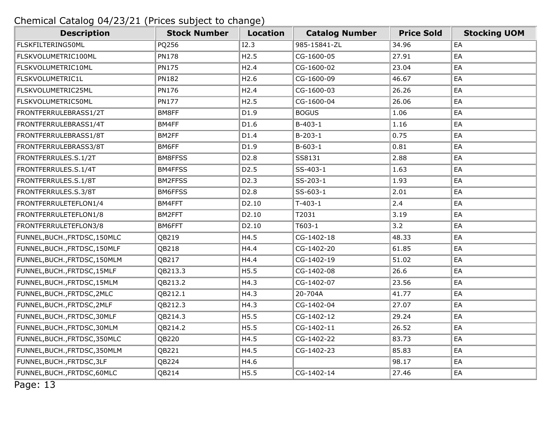| <b>Description</b>            | <b>Stock Number</b> | <b>Location</b>   | <b>Catalog Number</b> | <b>Price Sold</b> | <b>Stocking UOM</b> |
|-------------------------------|---------------------|-------------------|-----------------------|-------------------|---------------------|
| FLSKFILTERING50ML             | PQ256               | I2.3              | 985-15841-ZL          | 34.96             | EA                  |
| FLSKVOLUMETRIC100ML           | <b>PN178</b>        | H2.5              | CG-1600-05            | 27.91             | EA                  |
| FLSKVOLUMETRIC10ML            | <b>PN175</b>        | H2.4              | CG-1600-02            | 23.04             | EA                  |
| FLSKVOLUMETRIC1L              | <b>PN182</b>        | H2.6              | CG-1600-09            | 46.67             | EA                  |
| FLSKVOLUMETRIC25ML            | <b>PN176</b>        | H2.4              | CG-1600-03            | 26.26             | EA                  |
| FLSKVOLUMETRIC50ML            | <b>PN177</b>        | H2.5              | CG-1600-04            | 26.06             | EA                  |
| FRONTFERRULEBRASS1/2T         | BM8FF               | D1.9              | <b>BOGUS</b>          | 1.06              | EA                  |
| FRONTFERRULEBRASS1/4T         | BM4FF               | D1.6              | $B-403-1$             | 1.16              | EA                  |
| FRONTFERRULEBRASS1/8T         | BM2FF               | D1.4              | $B-203-1$             | 0.75              | EA                  |
| FRONTFERRULEBRASS3/8T         | BM6FF               | D1.9              | $B-603-1$             | 0.81              | EA                  |
| FRONTFERRULES.S.1/2T          | BM8FFSS             | D <sub>2.8</sub>  | SS8131                | 2.88              | EA                  |
| FRONTFERRULES.S.1/4T          | BM4FFSS             | D <sub>2.5</sub>  | SS-403-1              | 1.63              | EA                  |
| FRONTFERRULES.S.1/8T          | <b>BM2FFSS</b>      | D <sub>2</sub> .3 | SS-203-1              | 1.93              | EA                  |
| FRONTFERRULES.S.3/8T          | BM6FFSS             | D <sub>2.8</sub>  | SS-603-1              | 2.01              | EA                  |
| FRONTFERRULETEFLON1/4         | BM4FFT              | D2.10             | $T-403-1$             | 2.4               | EA                  |
| FRONTFERRULETEFLON1/8         | BM2FFT              | D2.10             | T2031                 | 3.19              | EA                  |
| FRONTFERRULETEFLON3/8         | BM6FFT              | D2.10             | T603-1                | 3.2               | EA                  |
| FUNNEL, BUCH., FRTDSC, 150MLC | QB219               | H4.5              | CG-1402-18            | 48.33             | EA                  |
| FUNNEL, BUCH., FRTDSC, 150MLF | QB218               | H4.4              | CG-1402-20            | 61.85             | EA                  |
| FUNNEL, BUCH., FRTDSC, 150MLM | QB217               | H4.4              | CG-1402-19            | 51.02             | EA                  |
| FUNNEL, BUCH., FRTDSC, 15MLF  | QB213.3             | H5.5              | CG-1402-08            | 26.6              | EA                  |
| FUNNEL, BUCH., FRTDSC, 15MLM  | QB213.2             | H4.3              | CG-1402-07            | 23.56             | EA                  |
| FUNNEL, BUCH., FRTDSC, 2MLC   | QB212.1             | H4.3              | 20-704A               | 41.77             | EA                  |
| FUNNEL, BUCH., FRTDSC, 2MLF   | QB212.3             | H4.3              | CG-1402-04            | 27.07             | EA                  |
| FUNNEL, BUCH., FRTDSC, 30MLF  | QB214.3             | H5.5              | CG-1402-12            | 29.24             | EA                  |
| FUNNEL, BUCH., FRTDSC, 30MLM  | QB214.2             | H5.5              | CG-1402-11            | 26.52             | EA                  |
| FUNNEL, BUCH., FRTDSC, 350MLC | QB220               | H4.5              | CG-1402-22            | 83.73             | EA                  |
| FUNNEL, BUCH., FRTDSC, 350MLM | QB221               | H4.5              | CG-1402-23            | 85.83             | EA                  |
| FUNNEL, BUCH., FRTDSC, 3LF    | QB224               | H4.6              |                       | 98.17             | EA                  |
| FUNNEL, BUCH., FRTDSC, 60MLC  | QB214               | H5.5              | CG-1402-14            | 27.46             | EA                  |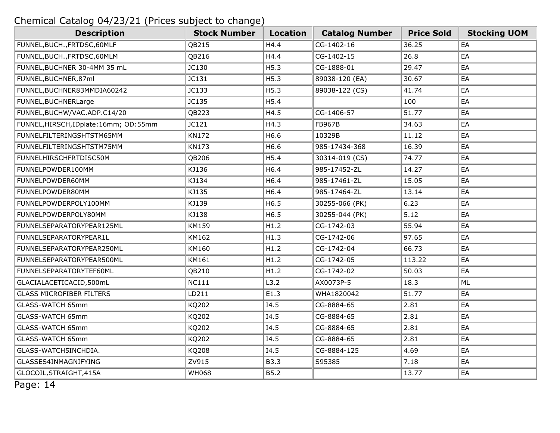| <b>Description</b>                      | <b>Stock Number</b> | <b>Location</b> | <b>Catalog Number</b> | <b>Price Sold</b> | <b>Stocking UOM</b> |
|-----------------------------------------|---------------------|-----------------|-----------------------|-------------------|---------------------|
| FUNNEL, BUCH., FRTDSC, 60MLF            | QB215               | H4.4            | CG-1402-16            | 36.25             | EA                  |
| FUNNEL, BUCH., FRTDSC, 60MLM            | QB216               | H4.4            | CG-1402-15            | 26.8              | EA                  |
| FUNNEL, BUCHNER 30-4MM 35 mL            | JC130               | H5.3            | CG-1888-01            | 29.47             | EA                  |
| FUNNEL, BUCHNER, 87ml                   | JC131               | H5.3            | 89038-120 (EA)        | 30.67             | EA                  |
| FUNNEL, BUCHNER83MMDIA60242             | JC133               | H5.3            | 89038-122 (CS)        | 41.74             | EA                  |
| FUNNEL, BUCHNERLarge                    | JC135               | H5.4            |                       | 100               | EA                  |
| FUNNEL, BUCHW/VAC.ADP.C14/20            | QB223               | H4.5            | CG-1406-57            | 51.77             | EA                  |
| FUNNEL, HIRSCH, IDplate: 16mm; OD: 55mm | JC121               | H4.3            | <b>FB967B</b>         | 34.63             | EA                  |
| FUNNELFILTERINGSHTSTM65MM               | <b>KN172</b>        | H6.6            | 10329B                | 11.12             | EA                  |
| FUNNELFILTERINGSHTSTM75MM               | <b>KN173</b>        | H6.6            | 985-17434-368         | 16.39             | EA                  |
| FUNNELHIRSCHFRTDISC50M                  | QB206               | H5.4            | 30314-019 (CS)        | 74.77             | EA                  |
| FUNNELPOWDER100MM                       | KJ136               | H6.4            | 985-17452-ZL          | 14.27             | EA                  |
| FUNNELPOWDER60MM                        | KJ134               | H6.4            | 985-17461-ZL          | 15.05             | EA                  |
| FUNNELPOWDER80MM                        | KJ135               | H6.4            | 985-17464-ZL          | 13.14             | EA                  |
| FUNNELPOWDERPOLY100MM                   | KJ139               | H6.5            | 30255-066 (PK)        | 6.23              | EA                  |
| FUNNELPOWDERPOLY80MM                    | KJ138               | H6.5            | 30255-044 (PK)        | 5.12              | EA                  |
| FUNNELSEPARATORYPEAR125ML               | KM159               | H1.2            | CG-1742-03            | 55.94             | EA                  |
| FUNNELSEPARATORYPEAR1L                  | KM162               | H1.3            | CG-1742-06            | 97.65             | EA                  |
| FUNNELSEPARATORYPEAR250ML               | KM160               | H1.2            | CG-1742-04            | 66.73             | EA                  |
| FUNNELSEPARATORYPEAR500ML               | KM161               | H1.2            | CG-1742-05            | 113.22            | EA                  |
| FUNNELSEPARATORYTEF60ML                 | QB210               | H1.2            | CG-1742-02            | 50.03             | EA                  |
| GLACIALACETICACID,500mL                 | <b>NC111</b>        | L3.2            | AX0073P-5             | 18.3              | ML                  |
| <b>GLASS MICROFIBER FILTERS</b>         | LD211               | E1.3            | WHA1820042            | 51.77             | EA                  |
| <b>GLASS-WATCH 65mm</b>                 | KQ202               | I4.5            | CG-8884-65            | 2.81              | EA                  |
| <b>GLASS-WATCH 65mm</b>                 | KQ202               | I4.5            | CG-8884-65            | 2.81              | EA                  |
| <b>GLASS-WATCH 65mm</b>                 | KQ202               | I4.5            | CG-8884-65            | 2.81              | EA                  |
| <b>GLASS-WATCH 65mm</b>                 | KQ202               | I4.5            | CG-8884-65            | 2.81              | EA                  |
| GLASS-WATCH5INCHDIA.                    | KQ208               | I4.5            | CG-8884-125           | 4.69              | EA                  |
| GLASSES4INMAGNIFYING                    | ZV915               | <b>B3.3</b>     | S95385                | 7.18              | EA                  |
| GLOCOIL, STRAIGHT, 415A                 | <b>WH068</b>        | B5.2            |                       | 13.77             | EA                  |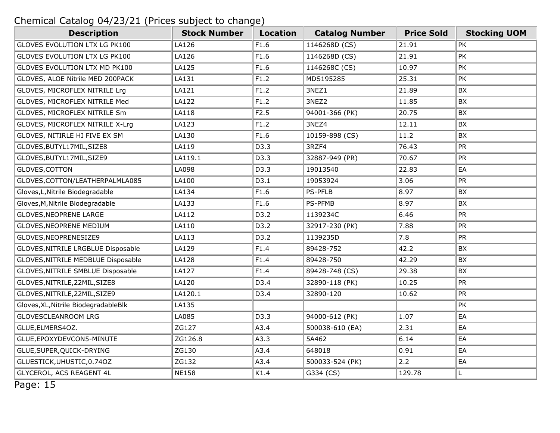| <b>Description</b>                   | <b>Stock Number</b> | <b>Location</b> | <b>Catalog Number</b> | <b>Price Sold</b> | <b>Stocking UOM</b> |
|--------------------------------------|---------------------|-----------------|-----------------------|-------------------|---------------------|
| GLOVES EVOLUTION LTX LG PK100        | LA126               | F1.6            | 1146268D (CS)         | 21.91             | <b>PK</b>           |
| GLOVES EVOLUTION LTX LG PK100        | LA126               | F1.6            | 1146268D (CS)         | 21.91             | PK                  |
| GLOVES EVOLUTION LTX MD PK100        | LA125               | F1.6            | 1146268C (CS)         | 10.97             | PK                  |
| GLOVES, ALOE Nitrile MED 200PACK     | LA131               | F1.2            | MDS195285             | 25.31             | PK                  |
| GLOVES, MICROFLEX NITRILE Lrg        | LA121               | F1.2            | 3NEZ1                 | 21.89             | BX                  |
| GLOVES, MICROFLEX NITRILE Med        | LA122               | F1.2            | 3NEZ2                 | 11.85             | BX                  |
| GLOVES, MICROFLEX NITRILE Sm         | LA118               | F2.5            | 94001-366 (PK)        | 20.75             | BX                  |
| GLOVES, MICROFLEX NITRILE X-Lrg      | LA123               | F1.2            | 3NEZ4                 | 12.11             | BX                  |
| GLOVES, NITIRLE HI FIVE EX SM        | LA130               | F1.6            | 10159-898 (CS)        | 11.2              | BX                  |
| GLOVES, BUTYL17MIL, SIZE8            | LA119               | D3.3            | 3RZF4                 | 76.43             | <b>PR</b>           |
| GLOVES, BUTYL17MIL, SIZE9            | LA119.1             | D3.3            | 32887-949 (PR)        | 70.67             | <b>PR</b>           |
| GLOVES, COTTON                       | LA098               | D3.3            | 19013540              | 22.83             | EA                  |
| GLOVES, COTTON/LEATHERPALMLA085      | LA100               | D3.1            | 19053924              | 3.06              | <b>PR</b>           |
| Gloves, L, Nitrile Biodegradable     | LA134               | F1.6            | <b>PS-PFLB</b>        | 8.97              | BX                  |
| Gloves, M, Nitrile Biodegradable     | LA133               | F1.6            | PS-PFMB               | 8.97              | BX                  |
| <b>GLOVES, NEOPRENE LARGE</b>        | LA112               | D3.2            | 1139234C              | 6.46              | <b>PR</b>           |
| GLOVES, NEOPRENE MEDIUM              | LA110               | D3.2            | 32917-230 (PK)        | 7.88              | <b>PR</b>           |
| GLOVES, NEOPRENESIZE9                | LA113               | D3.2            | 1139235D              | 7.8               | <b>PR</b>           |
| GLOVES, NITRILE LRGBLUE Disposable   | LA129               | F1.4            | 89428-752             | 42.2              | BX                  |
| GLOVES, NITRILE MEDBLUE Disposable   | LA128               | F1.4            | 89428-750             | 42.29             | BX                  |
| GLOVES, NITRILE SMBLUE Disposable    | LA127               | F1.4            | 89428-748 (CS)        | 29.38             | BX                  |
| GLOVES, NITRILE, 22MIL, SIZE8        | LA120               | D3.4            | 32890-118 (PK)        | 10.25             | <b>PR</b>           |
| GLOVES, NITRILE, 22MIL, SIZE9        | LA120.1             | D3.4            | 32890-120             | 10.62             | <b>PR</b>           |
| Gloves, XL, Nitrile BiodegradableBlk | LA135               |                 |                       |                   | PK                  |
| <b>GLOVESCLEANROOM LRG</b>           | LA085               | D3.3            | 94000-612 (PK)        | 1.07              | EA                  |
| GLUE, ELMERS4OZ.                     | ZG127               | A3.4            | 500038-610 (EA)       | 2.31              | EA                  |
| GLUE, EPOXYDEVCON5-MINUTE            | ZG126.8             | A3.3            | 5A462                 | 6.14              | EA                  |
| GLUE, SUPER, QUICK-DRYING            | ZG130               | A3.4            | 648018                | 0.91              | EA                  |
| GLUESTICK, UHUSTIC, 0.740Z           | ZG132               | A3.4            | 500033-524 (PK)       | 2.2               | EA                  |
| GLYCEROL, ACS REAGENT 4L             | <b>NE158</b>        | K1.4            | G334 (CS)             | 129.78            | L.                  |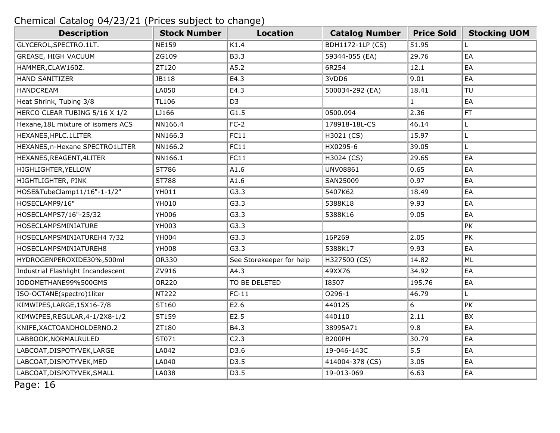| <b>Description</b>                 | <b>Stock Number</b> | <b>Location</b>          | <b>Catalog Number</b>   | <b>Price Sold</b> | <b>Stocking UOM</b> |
|------------------------------------|---------------------|--------------------------|-------------------------|-------------------|---------------------|
| GLYCEROL, SPECTRO. 1LT.            | <b>NE159</b>        | K1.4                     | <b>BDH1172-1LP (CS)</b> | 51.95             | L                   |
| GREASE, HIGH VACUUM                | ZG109               | B3.3                     | 59344-055 (EA)          | 29.76             | EA                  |
| HAMMER, CLAW160Z.                  | ZT120               | A5.2                     | 6R254                   | 12.1              | EA                  |
| <b>HAND SANITIZER</b>              | JB118               | E4.3                     | 3VDD6                   | 9.01              | EA                  |
| <b>HANDCREAM</b>                   | LA050               | E4.3                     | 500034-292 (EA)         | 18.41             | TU                  |
| Heat Shrink, Tubing 3/8            | <b>TL106</b>        | D <sub>3</sub>           |                         | $\mathbf{1}$      | EA                  |
| HERCO CLEAR TUBING 5/16 X 1/2      | LJ166               | G1.5                     | 0500.094                | 2.36              | FT                  |
| Hexane, 18L mixture of isomers ACS | NN166.4             | $FC-2$                   | 178918-18L-CS           | 46.14             | L                   |
| HEXANES, HPLC. 1LITER              | NN166.3             | FC11                     | H3021 (CS)              | 15.97             | L                   |
| HEXANES, n-Hexane SPECTRO1LITER    | NN166.2             | FC11                     | HX0295-6                | 39.05             | L                   |
| HEXANES, REAGENT, 4LITER           | NN166.1             | FC11                     | H3024 (CS)              | 29.65             | EA                  |
| HIGHLIGHTER, YELLOW                | ST786               | A1.6                     | UNV08861                | 0.65              | EA                  |
| HIGHTLIGHTER, PINK                 | ST788               | A1.6                     | SAN25009                | 0.97              | EA                  |
| HOSE&TubeClamp11/16"-1-1/2"        | YH011               | G3.3                     | 5407K62                 | 18.49             | EA                  |
| HOSECLAMP9/16"                     | YH010               | G3.3                     | 5388K18                 | 9.93              | EA                  |
| HOSECLAMPS7/16"-25/32              | YH006               | G3.3                     | 5388K16                 | 9.05              | EA                  |
| HOSECLAMPSMINIATURE                | YH003               | G3.3                     |                         |                   | PK                  |
| HOSECLAMPSMINIATUREH4 7/32         | <b>YH004</b>        | G3.3                     | 16P269                  | 2.05              | <b>PK</b>           |
| HOSECLAMPSMINIATUREH8              | <b>YH008</b>        | G3.3                     | 5388K17                 | 9.93              | EA                  |
| HYDROGENPEROXIDE30%,500ml          | OR330               | See Storekeeper for help | H327500 (CS)            | 14.82             | ML                  |
| Industrial Flashlight Incandescent | ZV916               | A4.3                     | 49XX76                  | 34.92             | EA                  |
| IODOMETHANE99%500GMS               | OR220               | TO BE DELETED            | <b>I8507</b>            | 195.76            | EA                  |
| ISO-OCTANE(spectro)1liter          | <b>NT222</b>        | $FC-11$                  | 0296-1                  | 46.79             | L.                  |
| KIMWIPES, LARGE, 15X16-7/8         | ST160               | E2.6                     | 440125                  | 6                 | <b>PK</b>           |
| KIMWIPES, REGULAR, 4-1/2X8-1/2     | ST159               | E2.5                     | 440110                  | 2.11              | BX                  |
| KNIFE, XACTOANDHOLDERNO.2          | ZT180               | B4.3                     | 38995A71                | 9.8               | EA                  |
| LABBOOK, NORMALRULED               | ST071               | C2.3                     | <b>B200PH</b>           | 30.79             | EA                  |
| LABCOAT, DISPOTYVEK, LARGE         | LA042               | D3.6                     | 19-046-143C             | 5.5               | EA                  |
| LABCOAT, DISPOTYVEK, MED           | LA040               | D3.5                     | 414004-378 (CS)         | 3.05              | EA                  |
| LABCOAT, DISPOTYVEK, SMALL         | LA038               | D3.5                     | 19-013-069              | 6.63              | EA                  |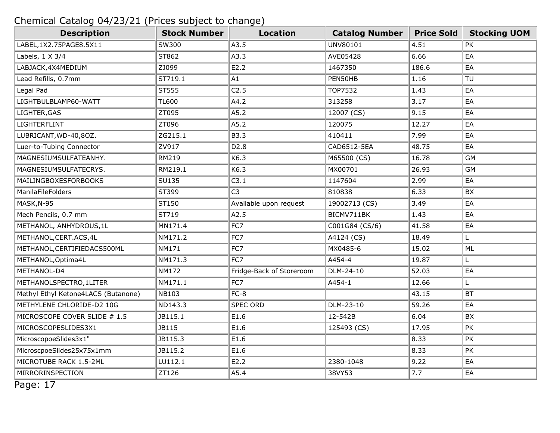| <b>Description</b>                  | <b>Stock Number</b> | <b>Location</b>          | <b>Catalog Number</b> | <b>Price Sold</b> | <b>Stocking UOM</b> |
|-------------------------------------|---------------------|--------------------------|-----------------------|-------------------|---------------------|
| LABEL, 1X2.75PAGE8.5X11             | SW300               | A3.5                     | UNV80101              | 4.51              | PK                  |
| Labels, 1 X 3/4                     | ST862               | A3.3                     | AVE05428              | 6.66              | EA                  |
| LABJACK, 4X4MEDIUM                  | ZJ099               | E2.2                     | 1467350               | 186.6             | EA                  |
| Lead Refills, 0.7mm                 | ST719.1             | A1                       | PEN50HB               | 1.16              | TU                  |
| Legal Pad                           | ST555               | C2.5                     | TOP7532               | 1.43              | EA                  |
| LIGHTBULBLAMP60-WATT                | <b>TL600</b>        | A4.2                     | 313258                | 3.17              | EA                  |
| LIGHTER, GAS                        | ZT095               | A5.2                     | 12007 (CS)            | 9.15              | EA                  |
| LIGHTERFLINT                        | ZT096               | A5.2                     | 120075                | 12.27             | EA                  |
| LUBRICANT, WD-40, 80Z.              | ZG215.1             | <b>B3.3</b>              | 410411                | 7.99              | EA                  |
| Luer-to-Tubing Connector            | ZV917               | D <sub>2.8</sub>         | CAD6512-5EA           | 48.75             | EA                  |
| MAGNESIUMSULFATEANHY.               | RM219               | K6.3                     | M65500 (CS)           | 16.78             | <b>GM</b>           |
| MAGNESIUMSULFATECRYS.               | RM219.1             | K6.3                     | MX00701               | 26.93             | <b>GM</b>           |
| <b>MAILINGBOXESFORBOOKS</b>         | <b>SU135</b>        | C3.1                     | 1147604               | 2.99              | EA                  |
| ManilaFileFolders                   | ST399               | C <sub>3</sub>           | 810838                | 6.33              | BX                  |
| MASK, N-95                          | ST150               | Available upon request   | 19002713 (CS)         | 3.49              | EA                  |
| Mech Pencils, 0.7 mm                | ST719               | A2.5                     | BICMV711BK            | 1.43              | EA                  |
| METHANOL, ANHYDROUS, 1L             | MN171.4             | FC7                      | C001G84 (CS/6)        | 41.58             | EA                  |
| METHANOL, CERT. ACS, 4L             | NM171.2             | FC7                      | A4124 (CS)            | 18.49             | L.                  |
| METHANOL, CERTIFIEDACS500ML         | <b>NM171</b>        | FC7                      | MX0485-6              | 15.02             | ML                  |
| METHANOL, Optima4L                  | NM171.3             | FC7                      | A454-4                | 19.87             | L.                  |
| METHANOL-D4                         | <b>NM172</b>        | Fridge-Back of Storeroom | DLM-24-10             | 52.03             | EA                  |
| METHANOLSPECTRO, 1LITER             | NM171.1             | FC7                      | A454-1                | 12.66             | L.                  |
| Methyl Ethyl Ketone4LACS (Butanone) | <b>NB103</b>        | $FC-8$                   |                       | 43.15             | <b>BT</b>           |
| METHYLENE CHLORIDE-D2 10G           | ND143.3             | <b>SPEC ORD</b>          | DLM-23-10             | 59.26             | EA                  |
| MICROSCOPE COVER SLIDE # 1.5        | JB115.1             | E1.6                     | 12-542B               | 6.04              | <b>BX</b>           |
| MICROSCOPESLIDES3X1                 | JB115               | E1.6                     | 125493 (CS)           | 17.95             | PK                  |
| MicroscopoeSlides3x1"               | JB115.3             | E1.6                     |                       | 8.33              | PK                  |
| MicroscpoeSlides25x75x1mm           | JB115.2             | E1.6                     |                       | 8.33              | PK                  |
| MICROTUBE RACK 1.5-2ML              | LU112.1             | E2.2                     | 2380-1048             | 9.22              | EA                  |
| MIRRORINSPECTION                    | ZT126               | A5.4                     | 38VY53                | 7.7               | EA                  |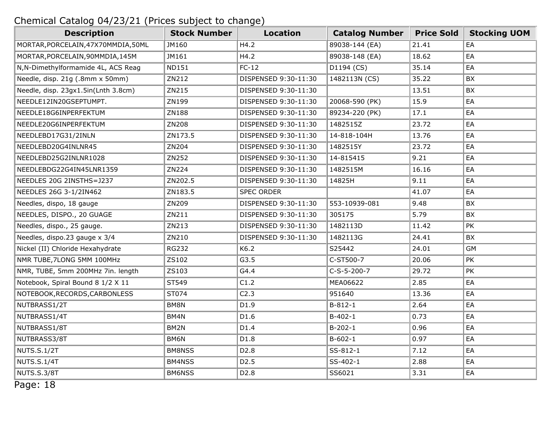| <b>Description</b>                  | <b>Stock Number</b> | <b>Location</b>      | <b>Catalog Number</b> | <b>Price Sold</b> | <b>Stocking UOM</b> |
|-------------------------------------|---------------------|----------------------|-----------------------|-------------------|---------------------|
| MORTAR, PORCELAIN, 47X70MMDIA, 50ML | JM160               | H4.2                 | 89038-144 (EA)        | 21.41             | EA                  |
| MORTAR, PORCELAIN, 90MMDIA, 145M    | JM161               | H4.2                 | 89038-148 (EA)        | 18.62             | EA                  |
| N, N-Dimethylformamide 4L, ACS Reag | <b>ND151</b>        | $FC-12$              | D1194 (CS)            | 35.14             | EA                  |
| Needle, disp. 21g (.8mm x 50mm)     | ZN212               | DISPENSED 9:30-11:30 | 1482113N (CS)         | 35.22             | BX                  |
| Needle, disp. 23gx1.5in(Lnth 3.8cm) | ZN215               | DISPENSED 9:30-11:30 |                       | 13.51             | BX                  |
| NEEDLE12IN20GSEPTUMPT.              | ZN199               | DISPENSED 9:30-11:30 | 20068-590 (PK)        | 15.9              | EA                  |
| NEEDLE18G6INPERFEKTUM               | ZN188               | DISPENSED 9:30-11:30 | 89234-220 (PK)        | 17.1              | EA                  |
| NEEDLE20G6INPERFEKTUM               | ZN208               | DISPENSED 9:30-11:30 | 1482515Z              | 23.72             | EA                  |
| NEEDLEBD17G31/2INLN                 | ZN173.5             | DISPENSED 9:30-11:30 | 14-818-104H           | 13.76             | EA                  |
| NEEDLEBD20G4INLNR45                 | ZN204               | DISPENSED 9:30-11:30 | 1482515Y              | 23.72             | EA                  |
| NEEDLEBD25G2INLNR1028               | ZN252               | DISPENSED 9:30-11:30 | 14-815415             | 9.21              | EA                  |
| NEEDLEBDG22G4IN45LNR1359            | ZN224               | DISPENSED 9:30-11:30 | 1482515M              | 16.16             | EA                  |
| NEEDLES 20G 2INSTHS=J237            | ZN202.5             | DISPENSED 9:30-11:30 | 14825H                | 9.11              | EA                  |
| NEEDLES 26G 3-1/2IN462              | ZN183.5             | <b>SPEC ORDER</b>    |                       | 41.07             | EA                  |
| Needles, dispo, 18 gauge            | ZN209               | DISPENSED 9:30-11:30 | 553-10939-081         | 9.48              | BX                  |
| NEEDLES, DISPO., 20 GUAGE           | ZN211               | DISPENSED 9:30-11:30 | 305175                | 5.79              | <b>BX</b>           |
| Needles, dispo., 25 gauge.          | ZN213               | DISPENSED 9:30-11:30 | 1482113D              | 11.42             | PK                  |
| Needles, dispo.23 gauge x 3/4       | ZN210               | DISPENSED 9:30-11:30 | 1482113G              | 24.41             | BX                  |
| Nickel (II) Chloride Hexahydrate    | <b>RG232</b>        | K6.2                 | S25442                | 24.01             | <b>GM</b>           |
| NMR TUBE, 7LONG 5MM 100MHz          | ZS102               | G3.5                 | C-ST500-7             | 20.06             | <b>PK</b>           |
| NMR, TUBE, 5mm 200MHz 7in. length   | ZS103               | G4.4                 | $C-S-5-200-7$         | 29.72             | PK                  |
| Notebook, Spiral Bound 8 1/2 X 11   | ST549               | C1.2                 | MEA06622              | 2.85              | EA                  |
| NOTEBOOK, RECORDS, CARBONLESS       | ST074               | C2.3                 | 951640                | 13.36             | EA                  |
| NUTBRASS1/2T                        | BM8N                | D1.9                 | $B-812-1$             | 2.64              | EA                  |
| NUTBRASS1/4T                        | BM4N                | D1.6                 | $B-402-1$             | 0.73              | EA                  |
| NUTBRASS1/8T                        | BM2N                | D1.4                 | $B-202-1$             | 0.96              | EA                  |
| NUTBRASS3/8T                        | BM6N                | D1.8                 | $B-602-1$             | 0.97              | EA                  |
| <b>NUTS.S.1/2T</b>                  | BM8NSS              | D <sub>2.8</sub>     | SS-812-1              | 7.12              | EA                  |
| <b>NUTS.S.1/4T</b>                  | BM4NSS              | D <sub>2</sub> .5    | SS-402-1              | 2.88              | EA                  |
| NUTS.S.3/8T                         | BM6NSS              | D <sub>2</sub> .8    | SS6021                | 3.31              | EA                  |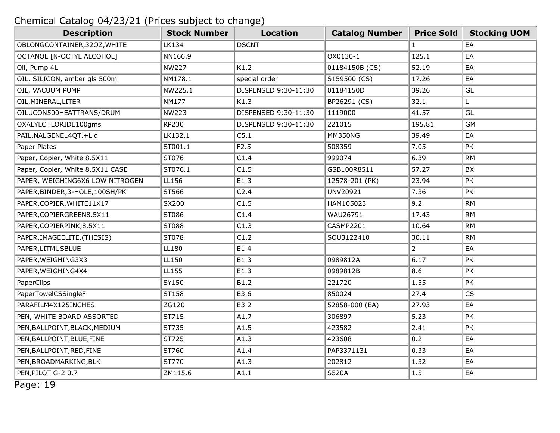| <b>Description</b>               | <b>Stock Number</b> | <b>Location</b>      | <b>Catalog Number</b> | <b>Price Sold</b> | <b>Stocking UOM</b> |
|----------------------------------|---------------------|----------------------|-----------------------|-------------------|---------------------|
| OBLONGCONTAINER, 32OZ, WHITE     | <b>LK134</b>        | <b>DSCNT</b>         |                       | $\mathbf{1}$      | EA                  |
| OCTANOL [N-OCTYL ALCOHOL]        | NN166.9             |                      | OX0130-1              | 125.1             | EA                  |
| Oil, Pump 4L                     | <b>NW227</b>        | K1.2                 | 01184150B (CS)        | 52.19             | EA                  |
| OIL, SILICON, amber gls 500ml    | NM178.1             | special order        | S159500 (CS)          | 17.26             | EA                  |
| OIL, VACUUM PUMP                 | NW225.1             | DISPENSED 9:30-11:30 | 01184150D             | 39.26             | GL                  |
| OIL, MINERAL, LITER              | <b>NM177</b>        | K1.3                 | BP26291 (CS)          | 32.1              | L.                  |
| OILUCON500HEATTRANS/DRUM         | <b>NW223</b>        | DISPENSED 9:30-11:30 | 1119000               | 41.57             | GL                  |
| OXALYLCHLORIDE100gms             | RP230               | DISPENSED 9:30-11:30 | 221015                | 195.81            | <b>GM</b>           |
| PAIL, NALGENE14QT. +Lid          | LK132.1             | C5.1                 | <b>MM350NG</b>        | 39.49             | EA                  |
| Paper Plates                     | ST001.1             | F <sub>2.5</sub>     | 508359                | 7.05              | PK                  |
| Paper, Copier, White 8.5X11      | ST076               | C1.4                 | 999074                | 6.39              | <b>RM</b>           |
| Paper, Copier, White 8.5X11 CASE | ST076.1             | C1.5                 | GSB100R8511           | 57.27             | BX                  |
| PAPER, WEIGHING6X6 LOW NITROGEN  | LL156               | E1.3                 | 12578-201 (PK)        | 23.94             | PK                  |
| PAPER, BINDER, 3-HOLE, 100SH/PK  | ST566               | C <sub>2.4</sub>     | UNV20921              | 7.36              | PK                  |
| PAPER, COPIER, WHITE11X17        | SX200               | C1.5                 | HAM105023             | 9.2               | <b>RM</b>           |
| PAPER, COPIERGREEN8.5X11         | ST086               | C1.4                 | WAU26791              | 17.43             | <b>RM</b>           |
| PAPER, COPIERPINK, 8.5X11        | ST088               | C1.3                 | CASMP2201             | 10.64             | <b>RM</b>           |
| PAPER, IMAGEELITE, (THESIS)      | ST078               | C1.2                 | SOU3122410            | 30.11             | <b>RM</b>           |
| PAPER, LITMUSBLUE                | LL180               | E1.4                 |                       | $\overline{2}$    | EA                  |
| PAPER, WEIGHING3X3               | LL150               | E1.3                 | 0989812A              | 6.17              | PK                  |
| PAPER, WEIGHING4X4               | LL155               | E1.3                 | 0989812B              | 8.6               | PK                  |
| PaperClips                       | SY150               | B1.2                 | 221720                | 1.55              | PK                  |
| PaperTowelCSSingleF              | ST158               | E3.6                 | 850024                | 27.4              | <b>CS</b>           |
| PARAFILM4X125INCHES              | ZG120               | E3.2                 | 52858-000 (EA)        | 27.93             | EA                  |
| PEN, WHITE BOARD ASSORTED        | ST715               | A1.7                 | 306897                | 5.23              | <b>PK</b>           |
| PEN, BALLPOINT, BLACK, MEDIUM    | ST735               | A1.5                 | 423582                | 2.41              | PK                  |
| PEN, BALLPOINT, BLUE, FINE       | ST725               | A1.3                 | 423608                | 0.2               | EA                  |
| PEN, BALLPOINT, RED, FINE        | ST760               | A1.4                 | PAP3371131            | 0.33              | EA                  |
| PEN, BROADMARKING, BLK           | ST770               | A1.3                 | 202812                | 1.32              | EA                  |
| PEN, PILOT G-2 0.7               | ZM115.6             | A1.1                 | <b>S520A</b>          | 1.5               | EA                  |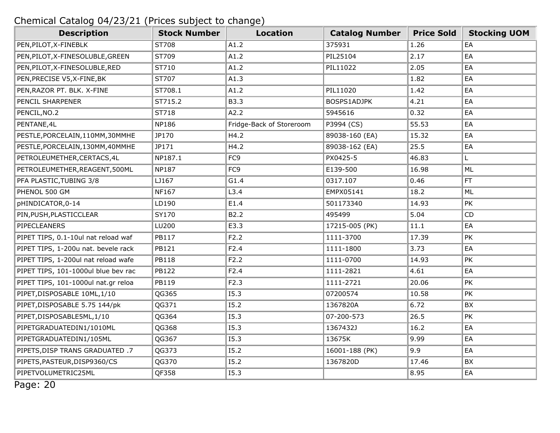| <b>Description</b>                  | <b>Stock Number</b> | <b>Location</b>          | <b>Catalog Number</b> | <b>Price Sold</b> | <b>Stocking UOM</b> |
|-------------------------------------|---------------------|--------------------------|-----------------------|-------------------|---------------------|
| PEN, PILOT, X-FINEBLK               | ST708               | A1.2                     | 375931                | 1.26              | EA                  |
| PEN, PILOT, X-FINESOLUBLE, GREEN    | ST709               | A1.2                     | PIL25104              | 2.17              | EA                  |
| PEN, PILOT, X-FINESOLUBLE, RED      | ST710               | A1.2                     | PIL11022              | 2.05              | EA                  |
| PEN, PRECISE V5, X-FINE, BK         | ST707               | A1.3                     |                       | 1.82              | EA                  |
| PEN, RAZOR PT. BLK. X-FINE          | ST708.1             | A1.2                     | PIL11020              | 1.42              | EA                  |
| PENCIL SHARPENER                    | ST715.2             | B3.3                     | BOSPS1ADJPK           | 4.21              | EA                  |
| PENCIL, NO.2                        | ST718               | A2.2                     | 5945616               | 0.32              | EA                  |
| PENTANE, 4L                         | <b>NP186</b>        | Fridge-Back of Storeroom | P3994 (CS)            | 55.53             | EA                  |
| PESTLE, PORCELAIN, 110MM, 30MMHE    | JP170               | H4.2                     | 89038-160 (EA)        | 15.32             | EA                  |
| PESTLE, PORCELAIN, 130MM, 40MMHE    | JP171               | H4.2                     | 89038-162 (EA)        | 25.5              | EA                  |
| PETROLEUMETHER, CERTACS, 4L         | NP187.1             | FC <sub>9</sub>          | PX0425-5              | 46.83             | L.                  |
| PETROLEUMETHER, REAGENT, 500ML      | NP187               | FC <sub>9</sub>          | E139-500              | 16.98             | ML                  |
| PFA PLASTIC, TUBING 3/8             | LJ167               | G1.4                     | 0317.107              | 0.46              | FT                  |
| PHENOL 500 GM                       | NF167               | L3.4                     | EMPX05141             | 18.2              | <b>ML</b>           |
| pHINDICATOR, 0-14                   | LD190               | E1.4                     | 501173340             | 14.93             | PK                  |
| PIN, PUSH, PLASTICCLEAR             | SY170               | B2.2                     | 495499                | 5.04              | <b>CD</b>           |
| <b>PIPECLEANERS</b>                 | LU200               | E3.3                     | 17215-005 (PK)        | 11.1              | EA                  |
| PIPET TIPS, 0.1-10ul nat reload waf | PB117               | F2.2                     | 1111-3700             | 17.39             | PK                  |
| PIPET TIPS, 1-200u nat. bevele rack | PB121               | F2.4                     | 1111-1800             | 3.73              | EA                  |
| PIPET TIPS, 1-200ul nat reload wafe | <b>PB118</b>        | F2.2                     | 1111-0700             | 14.93             | PK                  |
| PIPET TIPS, 101-1000ul blue bev rac | PB122               | F2.4                     | 1111-2821             | 4.61              | EA                  |
| PIPET TIPS, 101-1000ul nat.gr reloa | PB119               | F2.3                     | 1111-2721             | 20.06             | PK                  |
| PIPET, DISPOSABLE 10ML, 1/10        | QG365               | I5.3                     | 07200574              | 10.58             | PK                  |
| PIPET, DISPOSABLE 5.75 144/pk       | QG371               | 15.2                     | 1367820A              | 6.72              | BX                  |
| PIPET, DISPOSABLE5ML, 1/10          | QG364               | I5.3                     | 07-200-573            | 26.5              | PK                  |
| PIPETGRADUATEDIN1/1010ML            | QG368               | <b>I5.3</b>              | 1367432J              | 16.2              | EA                  |
| PIPETGRADUATEDIN1/105ML             | QG367               | I5.3                     | 13675K                | 9.99              | EA                  |
| PIPETS, DISP TRANS GRADUATED .7     | QG373               | 15.2                     | 16001-188 (PK)        | 9.9               | EA                  |
| PIPETS, PASTEUR, DISP9360/CS        | QG370               | 15.2                     | 1367820D              | 17.46             | BX                  |
| PIPETVOLUMETRIC25ML                 | QF358               | <b>I5.3</b>              |                       | 8.95              | EA                  |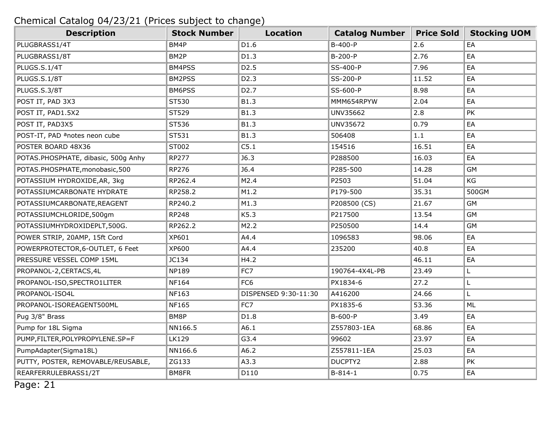| <b>Description</b>                        | <b>Stock Number</b> | <b>Location</b>      | <b>Catalog Number</b> | <b>Price Sold</b> | <b>Stocking UOM</b> |
|-------------------------------------------|---------------------|----------------------|-----------------------|-------------------|---------------------|
| PLUGBRASS1/4T                             | BM4P                | D1.6                 | B-400-P               | 2.6               | EA                  |
| PLUGBRASS1/8T                             | BM2P                | D1.3                 | B-200-P               | 2.76              | EA                  |
| PLUGS.S.1/4T                              | BM4PSS              | D <sub>2</sub> .5    | SS-400-P              | 7.96              | EA                  |
| PLUGS.S.1/8T                              | BM2PSS              | D <sub>2.3</sub>     | SS-200-P              | 11.52             | EA                  |
| PLUGS.S.3/8T                              | BM6PSS              | D <sub>2</sub> .7    | SS-600-P              | 8.98              | EA                  |
| POST IT, PAD 3X3                          | ST530               | B1.3                 | MMM654RPYW            | 2.04              | EA                  |
| POST IT, PAD1.5X2                         | ST529               | B1.3                 | UNV35662              | 2.8               | PK                  |
| POST IT, PAD3X5                           | ST536               | B1.3                 | UNV35672              | 0.79              | EA                  |
| POST-IT, PAD <sup>a</sup> notes neon cube | ST531               | B1.3                 | 506408                | 1.1               | EA                  |
| POSTER BOARD 48X36                        | ST002               | C5.1                 | 154516                | 16.51             | EA                  |
| POTAS.PHOSPHATE, dibasic, 500g Anhy       | <b>RP277</b>        | J6.3                 | P288500               | 16.03             | EA                  |
| POTAS.PHOSPHATE, monobasic, 500           | RP276               | J6.4                 | P285-500              | 14.28             | <b>GM</b>           |
| POTASSIUM HYDROXIDE, AR, 3kg              | RP262.4             | M2.4                 | P2503                 | 51.04             | KG                  |
| POTASSIUMCARBONATE HYDRATE                | RP258.2             | M1.2                 | P179-500              | 35.31             | 500GM               |
| POTASSIUMCARBONATE, REAGENT               | RP240.2             | M1.3                 | P208500 (CS)          | 21.67             | <b>GM</b>           |
| POTASSIUMCHLORIDE,500gm                   | <b>RP248</b>        | K5.3                 | P217500               | 13.54             | <b>GM</b>           |
| POTASSIUMHYDROXIDEPLT,500G.               | RP262.2             | M2.2                 | P250500               | 14.4              | <b>GM</b>           |
| POWER STRIP, 20AMP, 15ft Cord             | XP601               | A4.4                 | 1096583               | 98.06             | EA                  |
| POWERPROTECTOR, 6-OUTLET, 6 Feet          | XP600               | A4.4                 | 235200                | 40.8              | EA                  |
| PRESSURE VESSEL COMP 15ML                 | JC134               | H4.2                 |                       | 46.11             | EA                  |
| PROPANOL-2, CERTACS, 4L                   | <b>NP189</b>        | FC7                  | 190764-4X4L-PB        | 23.49             | L                   |
| PROPANOL-ISO, SPECTRO1LITER               | <b>NF164</b>        | FC <sub>6</sub>      | PX1834-6              | 27.2              | L                   |
| PROPANOL-ISO4L                            | NF163               | DISPENSED 9:30-11:30 | A416200               | 24.66             | Г                   |
| PROPANOL-ISOREAGENT500ML                  | <b>NF165</b>        | FC7                  | PX1835-6              | 53.36             | ML                  |
| Pug 3/8" Brass                            | BM8P                | D1.8                 | B-600-P               | 3.49              | EA                  |
| Pump for 18L Sigma                        | NN166.5             | A6.1                 | Z557803-1EA           | 68.86             | EA                  |
| PUMP, FILTER, POLYPROPYLENE.SP=F          | <b>LK129</b>        | G3.4                 | 99602                 | 23.97             | EA                  |
| PumpAdapter(Sigma18L)                     | NN166.6             | A6.2                 | Z557811-1EA           | 25.03             | EA                  |
| PUTTY, POSTER, REMOVABLE/REUSABLE,        | ZG133               | A3.3                 | DUCPTY2               | 2.88              | PK                  |
| REARFERRULEBRASS1/2T                      | BM8FR               | D110                 | $B-814-1$             | 0.75              | EA                  |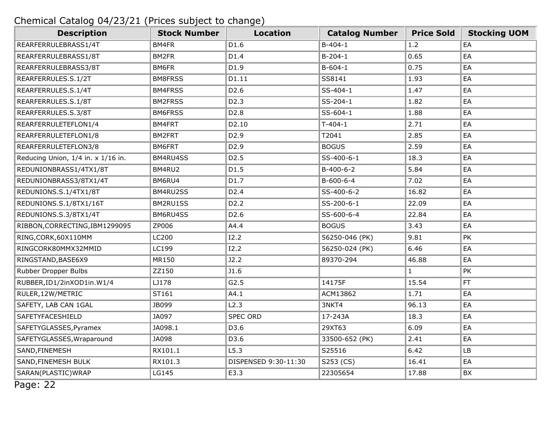| <b>Description</b>                 | <b>Stock Number</b> | <b>Location</b>      | <b>Catalog Number</b> | <b>Price Sold</b> | <b>Stocking UOM</b> |
|------------------------------------|---------------------|----------------------|-----------------------|-------------------|---------------------|
| REARFERRULEBRASS1/4T               | BM4FR               | D1.6                 | $B-404-1$             | 1.2               | EA                  |
| REARFERRULEBRASS1/8T               | BM2FR               | D1.4                 | $B-204-1$             | 0.65              | EA                  |
| REARFERRULEBRASS3/8T               | BM6FR               | D1.9                 | $B-604-1$             | 0.75              | EA                  |
| REARFERRULES.S.1/2T                | <b>BM8FRSS</b>      | D1.11                | SS8141                | 1.93              | EA                  |
| REARFERRULES.S.1/4T                | BM4FRSS             | D <sub>2.6</sub>     | SS-404-1              | 1.47              | EA                  |
| REARFERRULES.S.1/8T                | <b>BM2FRSS</b>      | D <sub>2</sub> .3    | SS-204-1              | 1.82              | EA                  |
| REARFERRULES.S.3/8T                | <b>BM6FRSS</b>      | D <sub>2.8</sub>     | SS-604-1              | 1.88              | EA                  |
| REARFERRULETEFLON1/4               | BM4FRT              | D2.10                | $T-404-1$             | 2.71              | EA                  |
| REARFERRULETEFLON1/8               | BM2FRT              | D <sub>2.9</sub>     | T2041                 | 2.85              | EA                  |
| REARFERRULETEFLON3/8               | BM6FRT              | D <sub>2.9</sub>     | <b>BOGUS</b>          | 2.59              | EA                  |
| Reducing Union, 1/4 in. x 1/16 in. | BM4RU4SS            | D <sub>2</sub> .5    | SS-400-6-1            | 18.3              | EA                  |
| REDUNIONBRASS1/4TX1/8T             | BM4RU2              | D1.5                 | B-400-6-2             | 5.84              | EA                  |
| REDUNIONBRASS3/8TX1/4T             | BM6RU4              | D1.7                 | $B-600-6-4$           | 7.02              | EA                  |
| REDUNIONS.S.1/4TX1/8T              | BM4RU2SS            | D <sub>2.4</sub>     | SS-400-6-2            | 16.82             | EA                  |
| REDUNIONS.S.1/8TX1/16T             | BM2RU1SS            | D <sub>2</sub> .2    | SS-200-6-1            | 22.09             | EA                  |
| REDUNIONS.S.3/8TX1/4T              | BM6RU4SS            | D <sub>2.6</sub>     | SS-600-6-4            | 22.84             | EA                  |
| RIBBON, CORRECTING, IBM1299095     | ZP006               | A4.4                 | <b>BOGUS</b>          | 3.43              | EA                  |
| RING, CORK, 60X110MM               | LC200               | I2.2                 | 56250-046 (PK)        | 9.81              | PK                  |
| RINGCORK80MMX32MMID                | LC199               | I2.2                 | 56250-024 (PK)        | 6.46              | EA                  |
| RINGSTAND, BASE6X9                 | MR150               | J2.2                 | 89370-294             | 46.88             | EA                  |
| Rubber Dropper Bulbs               | ZZ150               | J1.6                 |                       | $\mathbf{1}$      | PK                  |
| RUBBER, ID1/2inXOD1in.W1/4         | LJ178               | G2.5                 | 14175F                | 15.54             | <b>FT</b>           |
| RULER, 12W/METRIC                  | ST161               | A4.1                 | ACM13862              | 1.71              | EA                  |
| SAFETY, LAB CAN 1GAL               | JB099               | L2.3                 | 3NKT4                 | 96.13             | EA                  |
| SAFETYFACESHIELD                   | JA097               | <b>SPEC ORD</b>      | 17-243A               | 18.3              | EA                  |
| SAFETYGLASSES, Pyramex             | JA098.1             | D3.6                 | 29XT63                | 6.09              | EA                  |
| SAFETYGLASSES, Wraparound          | JA098               | D3.6                 | 33500-652 (PK)        | 2.41              | EA                  |
| SAND, FINEMESH                     | RX101.1             | L5.3                 | S25516                | 6.42              | LB                  |
| SAND, FINEMESH BULK                | RX101.3             | DISPENSED 9:30-11:30 | S253 (CS)             | 16.41             | EA                  |
| SARAN(PLASTIC) WRAP                | LG145               | E3.3                 | 22305654              | 17.88             | BX                  |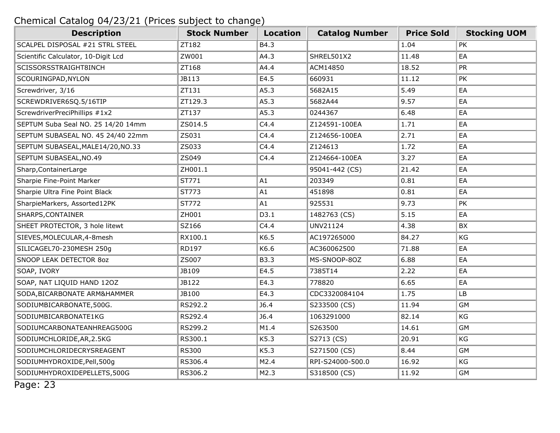| <b>Description</b>                  | <b>Stock Number</b> | <b>Location</b> | <b>Catalog Number</b> | <b>Price Sold</b> | <b>Stocking UOM</b> |
|-------------------------------------|---------------------|-----------------|-----------------------|-------------------|---------------------|
| SCALPEL DISPOSAL #21 STRL STEEL     | ZT182               | B4.3            |                       | 1.04              | PK                  |
| Scientific Calculator, 10-Digit Lcd | ZW001               | A4.3            | SHREL501X2            | 11.48             | EA                  |
| SCISSORSSTRAIGHT8INCH               | ZT168               | A4.4            | ACM14850              | 18.52             | PR                  |
| SCOURINGPAD, NYLON                  | JB113               | E4.5            | 660931                | 11.12             | PK                  |
| Screwdriver, 3/16                   | ZT131               | A5.3            | 5682A15               | 5.49              | EA                  |
| SCREWDRIVER6SQ.5/16TIP              | ZT129.3             | A5.3            | 5682A44               | 9.57              | EA                  |
| ScrewdriverPreciPhillips #1x2       | ZT137               | A5.3            | 0244367               | 6.48              | EA                  |
| SEPTUM Suba Seal NO. 25 14/20 14mm  | ZS014.5             | C4.4            | Z124591-100EA         | 1.71              | EA                  |
| SEPTUM SUBASEAL NO. 45 24/40 22mm   | ZS031               | C4.4            | Z124656-100EA         | 2.71              | EA                  |
| SEPTUM SUBASEAL, MALE14/20, NO.33   | ZS033               | C4.4            | Z124613               | 1.72              | EA                  |
| SEPTUM SUBASEAL, NO.49              | ZS049               | C4.4            | Z124664-100EA         | 3.27              | EA                  |
| Sharp, Container Large              | ZH001.1             |                 | 95041-442 (CS)        | 21.42             | EA                  |
| Sharpie Fine-Point Marker           | ST771               | A1              | 203349                | 0.81              | EA                  |
| Sharpie Ultra Fine Point Black      | ST773               | A1              | 451898                | 0.81              | EA                  |
| SharpieMarkers, Assorted12PK        | ST772               | A1              | 925531                | 9.73              | PK                  |
| SHARPS, CONTAINER                   | ZH001               | D3.1            | 1482763 (CS)          | 5.15              | EA                  |
| SHEET PROTECTOR, 3 hole litewt      | SZ166               | C4.4            | UNV21124              | 4.38              | BX                  |
| SIEVES, MOLECULAR, 4-8 mesh         | RX100.1             | K6.5            | AC197265000           | 84.27             | KG                  |
| SILICAGEL70-230MESH 250g            | RD197               | K6.6            | AC360062500           | 71.88             | EA                  |
| SNOOP LEAK DETECTOR 8oz             | ZS007               | B3.3            | MS-SNOOP-80Z          | 6.88              | EA                  |
| SOAP, IVORY                         | JB109               | E4.5            | 7385T14               | 2.22              | EA                  |
| SOAP, NAT LIQUID HAND 120Z          | JB122               | E4.3            | 778820                | 6.65              | EA                  |
| SODA, BICARBONATE ARM&HAMMER        | JB100               | E4.3            | CDC3320084104         | 1.75              | <b>LB</b>           |
| SODIUMBICARBONATE, 500G.            | RS292.2             | J6.4            | S233500 (CS)          | 11.94             | GM                  |
| SODIUMBICARBONATE1KG                | RS292.4             | J6.4            | 1063291000            | 82.14             | KG                  |
| SODIUMCARBONATEANHREAG500G          | RS299.2             | M1.4            | S263500               | 14.61             | <b>GM</b>           |
| SODIUMCHLORIDE, AR, 2.5KG           | RS300.1             | K5.3            | S2713 (CS)            | 20.91             | KG                  |
| SODIUMCHLORIDECRYSREAGENT           | <b>RS300</b>        | K5.3            | S271500 (CS)          | 8.44              | GM                  |
| SODIUMHYDROXIDE, Pell, 500g         | RS306.4             | M2.4            | RPI-S24000-500.0      | 16.92             | KG                  |
| SODIUMHYDROXIDEPELLETS,500G         | RS306.2             | M2.3            | S318500 (CS)          | 11.92             | <b>GM</b>           |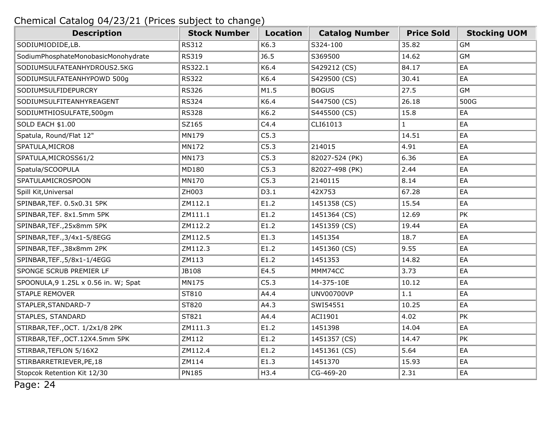| <b>Description</b>                   | <b>Stock Number</b> | <b>Location</b> | <b>Catalog Number</b> | <b>Price Sold</b> | <b>Stocking UOM</b> |
|--------------------------------------|---------------------|-----------------|-----------------------|-------------------|---------------------|
| SODIUMIODIDE,LB.                     | <b>RS312</b>        | K6.3            | S324-100              | 35.82             | <b>GM</b>           |
| SodiumPhosphateMonobasicMonohydrate  | <b>RS319</b>        | J6.5            | S369500               | 14.62             | GM                  |
| SODIUMSULFATEANHYDROUS2.5KG          | RS322.1             | K6.4            | S429212 (CS)          | 84.17             | EA                  |
| SODIUMSULFATEANHYPOWD 500g           | <b>RS322</b>        | K6.4            | S429500 (CS)          | 30.41             | EA                  |
| SODIUMSULFIDEPURCRY                  | <b>RS326</b>        | M1.5            | <b>BOGUS</b>          | 27.5              | <b>GM</b>           |
| SODIUMSULFITEANHYREAGENT             | <b>RS324</b>        | K6.4            | S447500 (CS)          | 26.18             | 500G                |
| SODIUMTHIOSULFATE,500gm              | <b>RS328</b>        | K6.2            | S445500 (CS)          | 15.8              | EA                  |
| <b>SOLD EACH \$1.00</b>              | SZ165               | C4.4            | CLI61013              | $\mathbf{1}$      | EA                  |
| Spatula, Round/Flat 12"              | MN179               | C5.3            |                       | 14.51             | EA                  |
| SPATULA, MICRO8                      | MN172               | C5.3            | 214015                | 4.91              | EA                  |
| SPATULA, MICROSS61/2                 | MN173               | C5.3            | 82027-524 (PK)        | 6.36              | EA                  |
| Spatula/SCOOPULA                     | MD180               | C5.3            | 82027-498 (PK)        | 2.44              | EA                  |
| SPATULAMICROSPOON                    | MN170               | C5.3            | 2140115               | 8.14              | EA                  |
| Spill Kit, Universal                 | ZH003               | D3.1            | 42X753                | 67.28             | EA                  |
| SPINBAR, TEF. 0.5x0.31 5PK           | ZM112.1             | E1.2            | 1451358 (CS)          | 15.54             | EA                  |
| SPINBAR, TEF. 8x1.5mm 5PK            | ZM111.1             | E1.2            | 1451364 (CS)          | 12.69             | PK                  |
| SPINBAR, TEF., 25x8mm 5PK            | ZM112.2             | E1.2            | 1451359 (CS)          | 19.44             | EA                  |
| SPINBAR, TEF., 3/4x1-5/8EGG          | ZM112.5             | E1.3            | 1451354               | 18.7              | EA                  |
| SPINBAR, TEF., 38x8mm 2PK            | ZM112.3             | E1.2            | 1451360 (CS)          | 9.55              | EA                  |
| SPINBAR, TEF., 5/8x1-1/4EGG          | ZM113               | E1.2            | 1451353               | 14.82             | EA                  |
| SPONGE SCRUB PREMIER LF              | JB108               | E4.5            | MMM74CC               | 3.73              | EA                  |
| SPOONULA, 9 1.25L x 0.56 in. W; Spat | MN175               | C5.3            | 14-375-10E            | 10.12             | EA                  |
| <b>STAPLE REMOVER</b>                | ST810               | A4.4            | <b>UNV00700VP</b>     | 1.1               | EA                  |
| STAPLER, STANDARD-7                  | ST820               | A4.3            | SWI54551              | 10.25             | EA                  |
| STAPLES, STANDARD                    | ST821               | A4.4            | ACI1901               | 4.02              | PK                  |
| STIRBAR, TEF., OCT. 1/2x1/8 2PK      | ZM111.3             | E1.2            | 1451398               | 14.04             | EA                  |
| STIRBAR, TEF., OCT. 12X4.5mm 5PK     | ZM112               | E1.2            | 1451357 (CS)          | 14.47             | PK                  |
| STIRBAR, TEFLON 5/16X2               | ZM112.4             | E1.2            | 1451361 (CS)          | 5.64              | EA                  |
| STIRBARRETRIEVER, PE, 18             | ZM114               | E1.3            | 1451370               | 15.93             | EA                  |
| Stopcok Retention Kit 12/30          | <b>PN185</b>        | H3.4            | CG-469-20             | 2.31              | EA                  |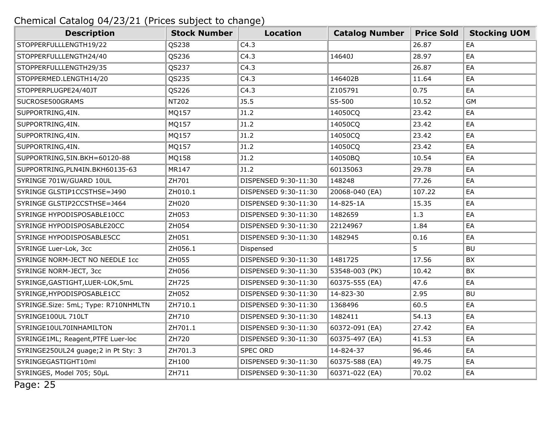| <b>Description</b>                   | <b>Stock Number</b> | <b>Location</b>      | <b>Catalog Number</b> | <b>Price Sold</b> | <b>Stocking UOM</b> |
|--------------------------------------|---------------------|----------------------|-----------------------|-------------------|---------------------|
| STOPPERFULLLENGTH19/22               | QS238               | C4.3                 |                       | 26.87             | EA                  |
| STOPPERFULLLENGTH24/40               | QS236               | C4.3                 | 14640J                | 28.97             | EA                  |
| STOPPERFULLLENGTH29/35               | QS237               | C4.3                 |                       | 26.87             | EA                  |
| STOPPERMED.LENGTH14/20               | QS235               | C4.3                 | 146402B               | 11.64             | EA                  |
| STOPPERPLUGPE24/40JT                 | QS226               | C4.3                 | Z105791               | 0.75              | EA                  |
| SUCROSE500GRAMS                      | NT202               | J5.5                 | S5-500                | 10.52             | <b>GM</b>           |
| SUPPORTRING, 4IN.                    | MQ157               | J1.2                 | 14050CQ               | 23.42             | EA                  |
| SUPPORTRING, 4IN.                    | MQ157               | J1.2                 | 14050CQ               | 23.42             | EA                  |
| SUPPORTRING, 4IN.                    | MQ157               | J1.2                 | 14050CQ               | 23.42             | EA                  |
| SUPPORTRING, 4IN.                    | MQ157               | J1.2                 | 14050CQ               | 23.42             | EA                  |
| SUPPORTRING, 5IN.BKH=60120-88        | MQ158               | J1.2                 | 14050BQ               | 10.54             | EA                  |
| SUPPORTRING, PLN4IN. BKH60135-63     | MR147               | J1.2                 | 60135063              | 29.78             | EA                  |
| SYRINGE 701W/GUARD 10UL              | ZH701               | DISPENSED 9:30-11:30 | 148248                | 77.26             | EA                  |
| SYRINGE GLSTIP1CCSTHSE=J490          | ZH010.1             | DISPENSED 9:30-11:30 | 20068-040 (EA)        | 107.22            | EA                  |
| SYRINGE GLSTIP2CCSTHSE=J464          | ZH020               | DISPENSED 9:30-11:30 | 14-825-1A             | 15.35             | EA                  |
| SYRINGE HYPODISPOSABLE10CC           | ZH053               | DISPENSED 9:30-11:30 | 1482659               | 1.3               | EA                  |
| SYRINGE HYPODISPOSABLE20CC           | ZH054               | DISPENSED 9:30-11:30 | 22124967              | 1.84              | EA                  |
| SYRINGE HYPODISPOSABLE5CC            | ZH051               | DISPENSED 9:30-11:30 | 1482945               | 0.16              | EA                  |
| SYRINGE Luer-Lok, 3cc                | ZH056.1             | Dispensed            |                       | 5                 | <b>BU</b>           |
| SYRINGE NORM-JECT NO NEEDLE 1cc      | ZH055               | DISPENSED 9:30-11:30 | 1481725               | 17.56             | BX                  |
| SYRINGE NORM-JECT, 3cc               | ZH056               | DISPENSED 9:30-11:30 | 53548-003 (PK)        | 10.42             | BX                  |
| SYRINGE, GASTIGHT, LUER-LOK, 5mL     | ZH725               | DISPENSED 9:30-11:30 | 60375-555 (EA)        | 47.6              | EA                  |
| SYRINGE, HYPODISPOSABLE1CC           | ZH052               | DISPENSED 9:30-11:30 | 14-823-30             | 2.95              | <b>BU</b>           |
| SYRINGE.Size: 5mL; Type: R710NHMLTN  | ZH710.1             | DISPENSED 9:30-11:30 | 1368496               | 60.5              | EA                  |
| SYRINGE100UL 710LT                   | ZH710               | DISPENSED 9:30-11:30 | 1482411               | 54.13             | EA                  |
| SYRINGE10UL70INHAMILTON              | ZH701.1             | DISPENSED 9:30-11:30 | 60372-091 (EA)        | 27.42             | EA                  |
| SYRINGE1ML; Reagent, PTFE Luer-loc   | ZH720               | DISPENSED 9:30-11:30 | 60375-497 (EA)        | 41.53             | EA                  |
| SYRINGE250UL24 guage; 2 in Pt Sty: 3 | ZH701.3             | <b>SPEC ORD</b>      | 14-824-37             | 96.46             | EA                  |
| SYRINGEGASTIGHT10ml                  | ZH100               | DISPENSED 9:30-11:30 | 60375-588 (EA)        | 49.75             | EA                  |
| SYRINGES, Model 705; 50µL            | ZH711               | DISPENSED 9:30-11:30 | 60371-022 (EA)        | 70.02             | EA                  |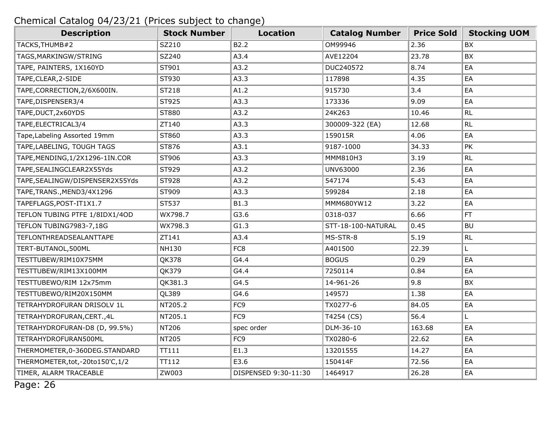| <b>Description</b>                | <b>Stock Number</b> | <b>Location</b>      | <b>Catalog Number</b> | <b>Price Sold</b> | <b>Stocking UOM</b> |
|-----------------------------------|---------------------|----------------------|-----------------------|-------------------|---------------------|
| TACKS, THUMB#2                    | SZ210               | B2.2                 | OM99946               | 2.36              | <b>BX</b>           |
| TAGS, MARKINGW/STRING             | SZ240               | A3.4                 | AVE12204              | 23.78             | <b>BX</b>           |
| TAPE, PAINTERS, 1X160YD           | ST901               | A3.2                 | DUC240572             | 8.74              | EA                  |
| TAPE, CLEAR, 2-SIDE               | ST930               | A3.3                 | 117898                | 4.35              | EA                  |
| TAPE, CORRECTION, 2/6X600IN.      | ST218               | A1.2                 | 915730                | 3.4               | EA                  |
| TAPE, DISPENSER3/4                | ST925               | A3.3                 | 173336                | 9.09              | EA                  |
| TAPE, DUCT, 2x60YDS               | ST880               | A3.2                 | 24K263                | 10.46             | RL                  |
| TAPE, ELECTRICAL3/4               | ZT140               | A3.3                 | 300009-322 (EA)       | 12.68             | RL                  |
| Tape, Labeling Assorted 19mm      | ST860               | A3.3                 | 159015R               | 4.06              | EA                  |
| TAPE, LABELING, TOUGH TAGS        | ST876               | A3.1                 | 9187-1000             | 34.33             | PK                  |
| TAPE, MENDING, 1/2X1296-1IN.COR   | ST906               | A3.3                 | MMM810H3              | 3.19              | RL                  |
| TAPE, SEALINGCLEAR2X55Yds         | ST929               | A3.2                 | UNV63000              | 2.36              | EA                  |
| TAPE, SEALINGW/DISPENSER2X55Yds   | ST928               | A3.2                 | 547174                | 5.43              | EA                  |
| TAPE, TRANS., MEND3/4X1296        | ST909               | A3.3                 | 599284                | 2.18              | EA                  |
| TAPEFLAGS, POST-IT1X1.7           | ST537               | B1.3                 | MMM680YW12            | 3.22              | EA                  |
| TEFLON TUBING PTFE 1/8IDX1/4OD    | WX798.7             | G3.6                 | 0318-037              | 6.66              | FT                  |
| TEFLON TUBING7983-7,18G           | WX798.3             | G1.3                 | STT-18-100-NATURAL    | 0.45              | <b>BU</b>           |
| <b>TEFLONTHREADSEALANTTAPE</b>    | ZT141               | A3.4                 | MS-STR-8              | 5.19              | RL                  |
| TERT-BUTANOL,500ML                | <b>NH130</b>        | FC8                  | A401500               | 22.39             | L.                  |
| TESTTUBEW/RIM10X75MM              | <b>QK378</b>        | G4.4                 | <b>BOGUS</b>          | 0.29              | EA                  |
| TESTTUBEW/RIM13X100MM             | QK379               | G4.4                 | 7250114               | 0.84              | EA                  |
| TESTTUBEWO/RIM 12x75mm            | QK381.3             | G4.5                 | 14-961-26             | 9.8               | BX                  |
| TESTTUBEWO/RIM20X150MM            | QL389               | G4.6                 | 14957J                | 1.38              | EA                  |
| TETRAHYDROFURAN DRISOLV 1L        | NT205.2             | FC <sub>9</sub>      | TX0277-6              | 84.05             | EA                  |
| TETRAHYDROFURAN, CERT., 4L        | NT205.1             | FC <sub>9</sub>      | T4254 (CS)            | 56.4              | L.                  |
| TETRAHYDROFURAN-D8 (D, 99.5%)     | NT206               | spec order           | DLM-36-10             | 163.68            | EA                  |
| TETRAHYDROFURAN500ML              | NT205               | FC <sub>9</sub>      | TX0280-6              | 22.62             | EA                  |
| THERMOMETER, 0-360DEG. STANDARD   | TT111               | E1.3                 | 13201555              | 14.27             | EA                  |
| THERMOMETER, tot, -20to150'C, 1/2 | TT112               | E3.6                 | 150414F               | 72.56             | EA                  |
| TIMER, ALARM TRACEABLE            | ZW003               | DISPENSED 9:30-11:30 | 1464917               | 26.28             | EA                  |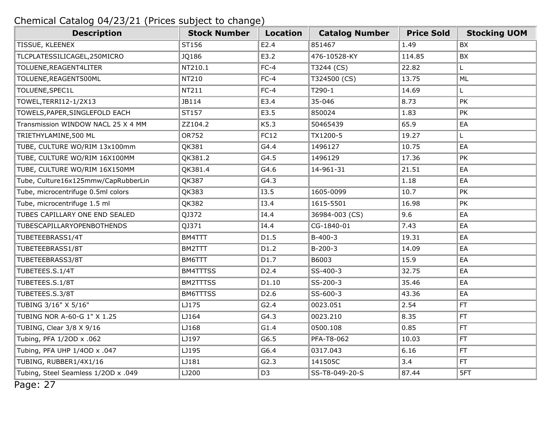| <b>Description</b>                  | <b>Stock Number</b> | <b>Location</b>   | <b>Catalog Number</b> | <b>Price Sold</b> | <b>Stocking UOM</b> |
|-------------------------------------|---------------------|-------------------|-----------------------|-------------------|---------------------|
| TISSUE, KLEENEX                     | ST156               | E2.4              | 851467                | 1.49              | <b>BX</b>           |
| TLCPLATESSILICAGEL,250MICRO         | JQ186               | E3.2              | 476-10528-KY          | 114.85            | BX                  |
| TOLUENE, REAGENT4LITER              | NT210.1             | $FC-4$            | T3244 (CS)            | 22.82             | L                   |
| TOLUENE, REAGENT500ML               | NT210               | $FC-4$            | T324500 (CS)          | 13.75             | ML                  |
| TOLUENE, SPEC1L                     | NT211               | $FC-4$            | T290-1                | 14.69             | L                   |
| TOWEL, TERRI12-1/2X13               | JB114               | E3.4              | 35-046                | 8.73              | PK                  |
| TOWELS, PAPER, SINGLEFOLD EACH      | ST157               | E3.5              | 850024                | 1.83              | PK                  |
| Transmission WINDOW NACL 25 X 4 MM  | ZZ104.2             | K5.3              | 50465439              | 65.9              | EA                  |
| TRIETHYLAMINE,500 ML                | OR752               | FC12              | TX1200-5              | 19.27             | L                   |
| TUBE, CULTURE WO/RIM 13x100mm       | QK381               | G4.4              | 1496127               | 10.75             | EA                  |
| TUBE, CULTURE WO/RIM 16X100MM       | QK381.2             | G4.5              | 1496129               | 17.36             | PK                  |
| TUBE, CULTURE WO/RIM 16X150MM       | QK381.4             | G4.6              | 14-961-31             | 21.51             | EA                  |
| Tube, Culture16x125mmw/CapRubberLin | QK387               | G4.3              |                       | 1.18              | EA                  |
| Tube, microcentrifuge 0.5ml colors  | QK383               | <b>I3.5</b>       | 1605-0099             | 10.7              | PK                  |
| Tube, microcentrifuge 1.5 ml        | QK382               | I3.4              | 1615-5501             | 16.98             | PK                  |
| TUBES CAPILLARY ONE END SEALED      | QJ372               | I4.4              | 36984-003 (CS)        | 9.6               | EA                  |
| TUBESCAPILLARYOPENBOTHENDS          | QJ371               | I4.4              | CG-1840-01            | 7.43              | EA                  |
| TUBETEEBRASS1/4T                    | BM4TTT              | D1.5              | $B-400-3$             | 19.31             | EA                  |
| TUBETEEBRASS1/8T                    | BM2TTT              | D1.2              | $B-200-3$             | 14.09             | EA                  |
| TUBETEEBRASS3/8T                    | BM6TTT              | D1.7              | B6003                 | 15.9              | EA                  |
| TUBETEES.S.1/4T                     | <b>BM4TTTSS</b>     | D <sub>2</sub> .4 | SS-400-3              | 32.75             | EA                  |
| TUBETEES.S.1/8T                     | <b>BM2TTTSS</b>     | D1.10             | SS-200-3              | 35.46             | EA                  |
| TUBETEES.S.3/8T                     | <b>BM6TTTSS</b>     | D <sub>2</sub> .6 | SS-600-3              | 43.36             | EA                  |
| TUBING 3/16" X 5/16"                | LJ175               | G2.4              | 0023.051              | 2.54              | FT                  |
| TUBING NOR A-60-G 1" X 1.25         | LJ164               | G4.3              | 0023.210              | 8.35              | FT.                 |
| TUBING, Clear 3/8 X 9/16            | LJ168               | G1.4              | 0500.108              | 0.85              | FT.                 |
| Tubing, PFA 1/20D x .062            | LJ197               | G6.5              | PFA-T8-062            | 10.03             | FT                  |
| Tubing, PFA UHP 1/40D x .047        | LJ195               | G6.4              | 0317.043              | 6.16              | FT.                 |
| TUBING, RUBBER1/4X1/16              | LJ181               | G2.3              | 141505C               | 3.4               | FT.                 |
| Tubing, Steel Seamless 1/20D x .049 | LJ200               | D <sub>3</sub>    | SS-T8-049-20-S        | 87.44             | 5FT                 |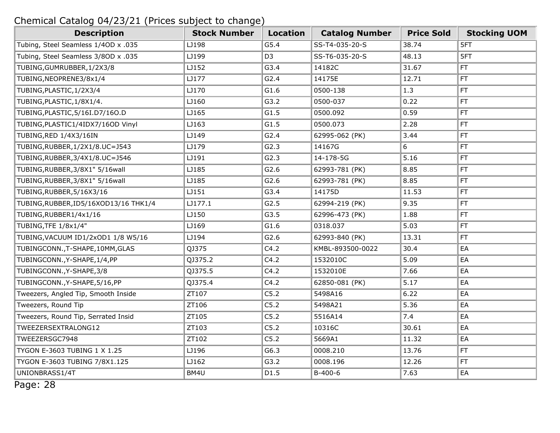| <b>Description</b>                    | <b>Stock Number</b> | Location       | <b>Catalog Number</b> | <b>Price Sold</b> | <b>Stocking UOM</b> |
|---------------------------------------|---------------------|----------------|-----------------------|-------------------|---------------------|
| Tubing, Steel Seamless 1/40D x .035   | LJ198               | G5.4           | SS-T4-035-20-S        | 38.74             | 5FT                 |
| Tubing, Steel Seamless 3/80D x .035   | LJ199               | D <sub>3</sub> | SS-T6-035-20-S        | 48.13             | 5FT                 |
| TUBING, GUMRUBBER, 1/2X3/8            | LJ152               | G3.4           | 14182C                | 31.67             | FT.                 |
| TUBING, NEOPRENE3/8x1/4               | LJ177               | G2.4           | 14175E                | 12.71             | FT                  |
| TUBING, PLASTIC, 1/2X3/4              | LJ170               | G1.6           | 0500-138              | 1.3               | FT.                 |
| TUBING, PLASTIC, 1/8X1/4.             | LJ160               | G3.2           | 0500-037              | 0.22              | FT                  |
| TUBING, PLASTIC, 5/16I.D7/16O.D       | LJ165               | G1.5           | 0500.092              | 0.59              | FT.                 |
| TUBING, PLASTIC1/4IDX7/16OD Vinyl     | LJ163               | G1.5           | 0500.073              | 2.28              | FT.                 |
| TUBING, RED 1/4X3/16IN                | LJ149               | G2.4           | 62995-062 (PK)        | 3.44              | FT                  |
| TUBING, RUBBER, 1/2X1/8.UC=J543       | LJ179               | G2.3           | 14167G                | 6                 | FT                  |
| TUBING, RUBBER, 3/4X1/8.UC=J546       | LJ191               | G2.3           | 14-178-5G             | 5.16              | FT                  |
| TUBING, RUBBER, 3/8X1" 5/16 wall      | LJ185               | G2.6           | 62993-781 (PK)        | 8.85              | FT                  |
| TUBING, RUBBER, 3/8X1" 5/16 wall      | LJ185               | G2.6           | 62993-781 (PK)        | 8.85              | FT                  |
| TUBING, RUBBER, 5/16X3/16             | LJ151               | G3.4           | 14175D                | 11.53             | FT                  |
| TUBING, RUBBER, ID5/16XOD13/16 THK1/4 | LJ177.1             | G2.5           | 62994-219 (PK)        | 9.35              | FT.                 |
| TUBING, RUBBER1/4x1/16                | LJ150               | G3.5           | 62996-473 (PK)        | 1.88              | FT.                 |
| TUBING, TFE 1/8x1/4"                  | LJ169               | G1.6           | 0318.037              | 5.03              | FT                  |
| TUBING, VACUUM ID1/2xOD1 1/8 W5/16    | LJ194               | G2.6           | 62993-840 (PK)        | 13.31             | FT                  |
| TUBINGCONN., T-SHAPE, 10MM, GLAS      | QJ375               | C4.2           | KMBL-893500-0022      | 30.4              | EA                  |
| TUBINGCONN., Y-SHAPE, 1/4, PP         | QJ375.2             | C4.2           | 1532010C              | 5.09              | EA                  |
| TUBINGCONN., Y-SHAPE, 3/8             | QJ375.5             | C4.2           | 1532010E              | 7.66              | EA                  |
| TUBINGCONN., Y-SHAPE, 5/16, PP        | QJ375.4             | C4.2           | 62850-081 (PK)        | 5.17              | EA                  |
| Tweezers, Angled Tip, Smooth Inside   | ZT107               | C5.2           | 5498A16               | 6.22              | EA                  |
| Tweezers, Round Tip                   | ZT106               | C5.2           | 5498A21               | 5.36              | EA                  |
| Tweezers, Round Tip, Serrated Insid   | ZT105               | C5.2           | 5516A14               | 7.4               | EA                  |
| TWEEZERSEXTRALONG12                   | ZT103               | C5.2           | 10316C                | 30.61             | EA                  |
| TWEEZERSGC7948                        | ZT102               | C5.2           | 5669A1                | 11.32             | EA                  |
| TYGON E-3603 TUBING 1 X 1.25          | LJ196               | G6.3           | 0008.210              | 13.76             | FT.                 |
| TYGON E-3603 TUBING 7/8X1.125         | LJ162               | G3.2           | 0008.196              | 12.26             | FT                  |
| UNIONBRASS1/4T                        | BM4U                | D1.5           | $B-400-6$             | 7.63              | EA                  |